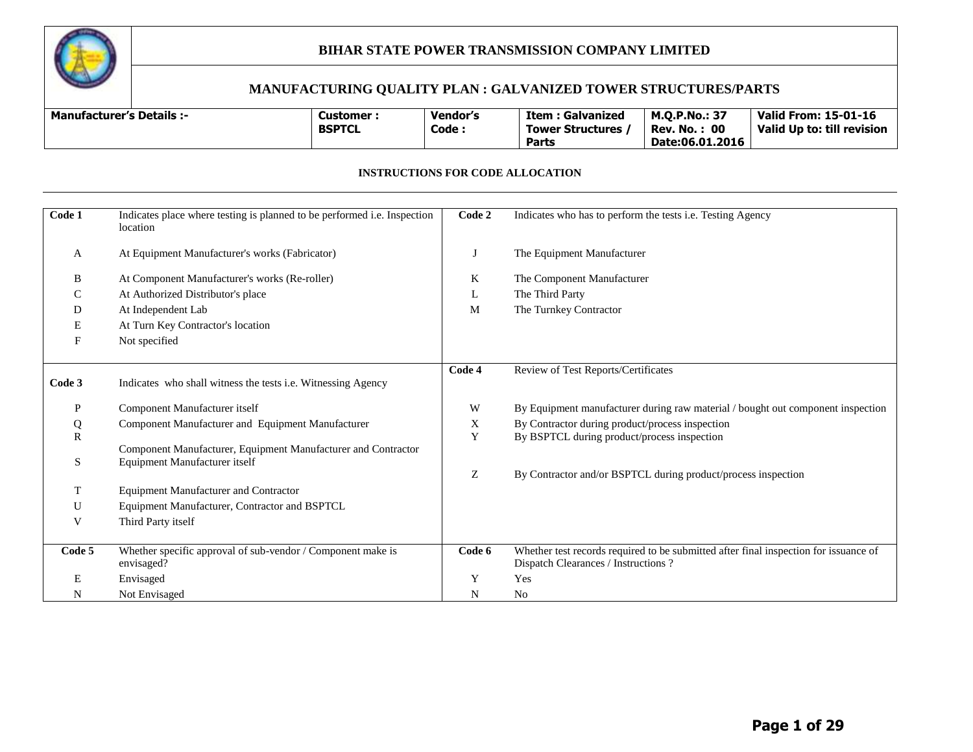

#### **MANUFACTURING QUALITY PLAN : GALVANIZED TOWER STRUCTURES/PARTS**

| <b>Manufacturer's Details:-</b> | Customer<br><b>BSPTCL</b> | <b>Vendor's</b><br>Code: | <b>Item : Galvanized</b><br>Tower Structures, | <b>M.O.P.No.: 37</b><br>Rev. No. .<br>: 00 | <b>Valid From: 15-01-16</b><br>Valid Up to: till revision |
|---------------------------------|---------------------------|--------------------------|-----------------------------------------------|--------------------------------------------|-----------------------------------------------------------|
|                                 |                           |                          | Parts                                         | Date:06.01.2016                            |                                                           |

#### **INSTRUCTIONS FOR CODE ALLOCATION**

| Code 1            | Indicates place where testing is planned to be performed i.e. Inspection<br>location           | Code 2 | Indicates who has to perform the tests i.e. Testing Agency                                                                   |
|-------------------|------------------------------------------------------------------------------------------------|--------|------------------------------------------------------------------------------------------------------------------------------|
| A                 | At Equipment Manufacturer's works (Fabricator)                                                 | J      | The Equipment Manufacturer                                                                                                   |
| B                 | At Component Manufacturer's works (Re-roller)                                                  | K      | The Component Manufacturer                                                                                                   |
| C                 | At Authorized Distributor's place                                                              | L      | The Third Party                                                                                                              |
| D                 | At Independent Lab                                                                             | M      | The Turnkey Contractor                                                                                                       |
| Е                 | At Turn Key Contractor's location                                                              |        |                                                                                                                              |
| F                 | Not specified                                                                                  |        |                                                                                                                              |
| Code 3            | Indicates who shall witness the tests i.e. Witnessing Agency                                   | Code 4 | Review of Test Reports/Certificates                                                                                          |
| P                 | Component Manufacturer itself                                                                  | W      | By Equipment manufacturer during raw material / bought out component inspection                                              |
| Q<br>$\mathbb{R}$ | Component Manufacturer and Equipment Manufacturer                                              | X<br>Y | By Contractor during product/process inspection<br>By BSPTCL during product/process inspection                               |
| S                 | Component Manufacturer, Equipment Manufacturer and Contractor<br>Equipment Manufacturer itself |        |                                                                                                                              |
|                   |                                                                                                | Z      | By Contractor and/or BSPTCL during product/process inspection                                                                |
| T                 | <b>Equipment Manufacturer and Contractor</b>                                                   |        |                                                                                                                              |
| U                 | Equipment Manufacturer, Contractor and BSPTCL                                                  |        |                                                                                                                              |
| V                 | Third Party itself                                                                             |        |                                                                                                                              |
| Code 5            | Whether specific approval of sub-vendor / Component make is<br>envisaged?                      | Code 6 | Whether test records required to be submitted after final inspection for issuance of<br>Dispatch Clearances / Instructions ? |
| Е                 | Envisaged                                                                                      | Y      | Yes                                                                                                                          |
| N                 | Not Envisaged                                                                                  | N      | No                                                                                                                           |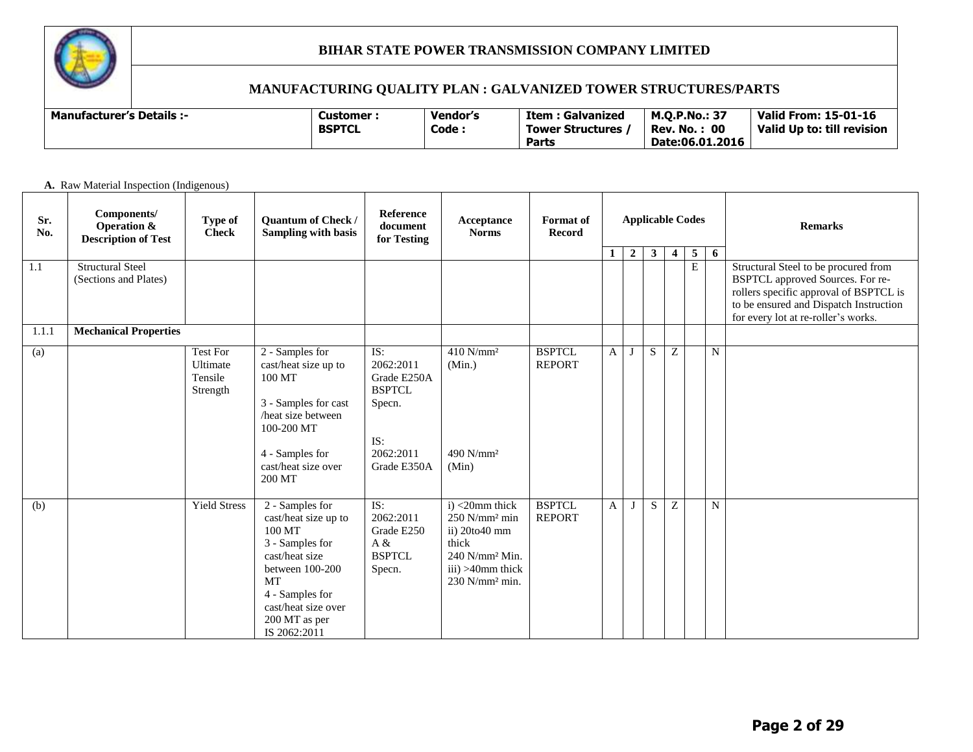

#### **MANUFACTURING QUALITY PLAN : GALVANIZED TOWER STRUCTURES/PARTS**

| <b>Manufacturer's Details :-</b> |  | Customer :<br><b>BSPTCL</b> | Vendor's<br>Code: | Item : Galvanized<br>Tower Structures<br>Parts | M.O.P.No.: 37<br>: 00<br>Rev. No.<br>Date:06.01.2016 | <b>Valid From: 15-01-16</b><br>Valid Up to: till revision |
|----------------------------------|--|-----------------------------|-------------------|------------------------------------------------|------------------------------------------------------|-----------------------------------------------------------|
|----------------------------------|--|-----------------------------|-------------------|------------------------------------------------|------------------------------------------------------|-----------------------------------------------------------|

#### **A.** Raw Material Inspection (Indigenous)

| Sr.<br>No.   | Components/<br>Operation &<br><b>Description of Test</b> | Type of<br><b>Check</b>                     | Quantum of Check /<br><b>Sampling with basis</b>                                                                                                                                                  | Reference<br>document<br>for Testing                                                          | Acceptance<br><b>Norms</b>                                                                                                                                     | <b>Format</b> of<br><b>Record</b> | <b>Applicable Codes</b><br>$2 \mid$<br>$\mathbf{3}$<br>5 <sup>5</sup><br>1<br>$\overline{\mathbf{4}}$ |              |   | 6           |                |             | <b>Remarks</b>                                                                                                                                                                                      |
|--------------|----------------------------------------------------------|---------------------------------------------|---------------------------------------------------------------------------------------------------------------------------------------------------------------------------------------------------|-----------------------------------------------------------------------------------------------|----------------------------------------------------------------------------------------------------------------------------------------------------------------|-----------------------------------|-------------------------------------------------------------------------------------------------------|--------------|---|-------------|----------------|-------------|-----------------------------------------------------------------------------------------------------------------------------------------------------------------------------------------------------|
| 1.1          | <b>Structural Steel</b><br>(Sections and Plates)         |                                             |                                                                                                                                                                                                   |                                                                                               |                                                                                                                                                                |                                   |                                                                                                       |              |   |             | $\overline{E}$ |             | Structural Steel to be procured from<br>BSPTCL approved Sources. For re-<br>rollers specific approval of BSPTCL is<br>to be ensured and Dispatch Instruction<br>for every lot at re-roller's works. |
| 1.1.1<br>(a) | <b>Mechanical Properties</b>                             | Test For<br>Ultimate<br>Tensile<br>Strength | 2 - Samples for<br>cast/heat size up to<br>100 MT<br>3 - Samples for cast<br>heat size between<br>100-200 MT<br>4 - Samples for<br>cast/heat size over<br>200 MT                                  | IS:<br>2062:2011<br>Grade E250A<br><b>BSPTCL</b><br>Specn.<br>IS:<br>2062:2011<br>Grade E350A | $410$ N/mm <sup>2</sup><br>(Min.)<br>$490$ N/mm <sup>2</sup><br>(Min)                                                                                          | <b>BSPTCL</b><br><b>REPORT</b>    | $\mathbf{A}$                                                                                          | J            | S | Ζ           |                | N           |                                                                                                                                                                                                     |
| (b)          |                                                          | <b>Yield Stress</b>                         | 2 - Samples for<br>cast/heat size up to<br>100 MT<br>3 - Samples for<br>cast/heat size<br>between 100-200<br><b>MT</b><br>4 - Samples for<br>cast/heat size over<br>200 MT as per<br>IS 2062:2011 | IS:<br>2062:2011<br>Grade E250<br>A &<br><b>BSPTCL</b><br>Specn.                              | $i$ ) <20mm thick<br>$250$ N/mm <sup>2</sup> min<br>ii) 20to40 mm<br>thick<br>240 N/mm <sup>2</sup> Min.<br>$iii) > 40$ mm thick<br>230 N/mm <sup>2</sup> min. | <b>BSPTCL</b><br><b>REPORT</b>    | $\mathbf{A}$                                                                                          | $\mathbf{J}$ | S | $\mathbf Z$ |                | $\mathbf N$ |                                                                                                                                                                                                     |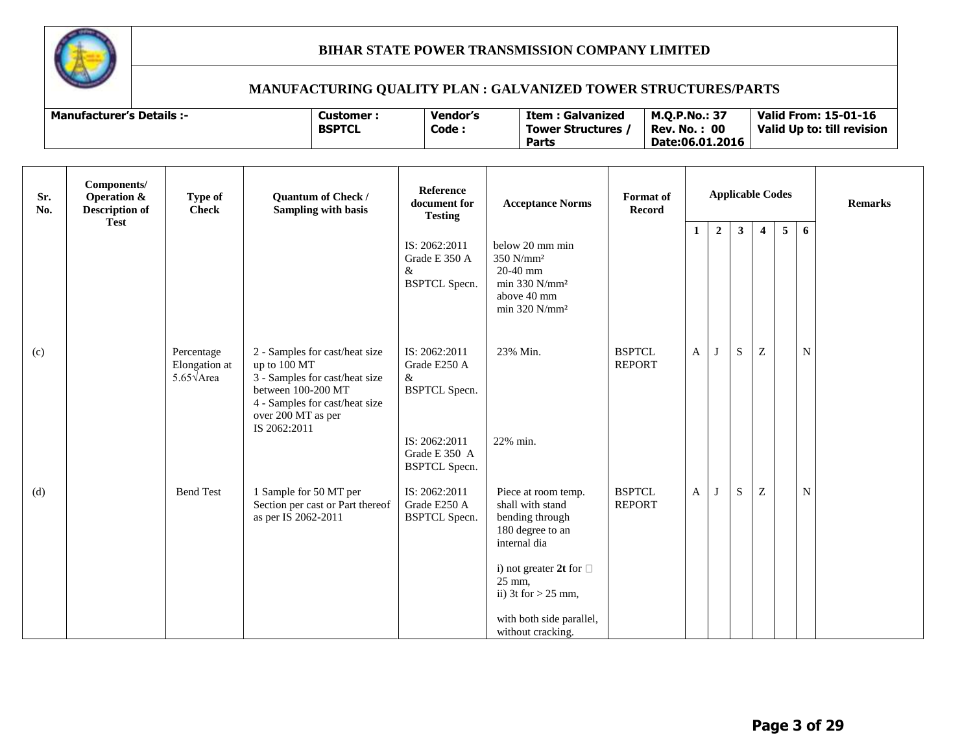

| <b>Manufacturer's Details :-</b> | Customer      | <b>Vendor's</b> | Item : Galvanized       | <b>M.O.P.No.: 37</b> | Valid From: 15-01-16       |
|----------------------------------|---------------|-----------------|-------------------------|----------------------|----------------------------|
|                                  | <b>BSPTCL</b> | Code :          | <b>Tower Structures</b> | <b>Rev. No.: 00</b>  | Valid Up to: till revision |
|                                  |               |                 | <b>Parts</b>            | Date:06.01.2016      |                            |

| Sr.<br>No. | Components/<br><b>Operation &amp;</b><br><b>Description of</b><br><b>Test</b> | <b>Type of</b><br><b>Check</b>                          | Quantum of Check /<br><b>Sampling with basis</b>                                                                                                                               | <b>Reference</b><br>document for<br><b>Testing</b>                                                                   | <b>Acceptance Norms</b>                                                                                                                                                                                              | <b>Format</b> of<br>Record     | <b>Applicable Codes</b> |                |              |                           |                | <b>Remarks</b> |  |
|------------|-------------------------------------------------------------------------------|---------------------------------------------------------|--------------------------------------------------------------------------------------------------------------------------------------------------------------------------------|----------------------------------------------------------------------------------------------------------------------|----------------------------------------------------------------------------------------------------------------------------------------------------------------------------------------------------------------------|--------------------------------|-------------------------|----------------|--------------|---------------------------|----------------|----------------|--|
|            |                                                                               |                                                         |                                                                                                                                                                                | IS: 2062:2011<br>Grade E 350 A<br>$\&$<br><b>BSPTCL Specn.</b>                                                       | below 20 mm min<br>350 N/mm <sup>2</sup><br>20-40 mm<br>min 330 N/mm <sup>2</sup><br>above 40 mm<br>$min$ 320 N/ $mm2$                                                                                               |                                | 1                       | $\overline{2}$ | $\mathbf{3}$ | $\overline{4}$            | 5 <sup>5</sup> | 6              |  |
| (c)        |                                                                               | Percentage<br>Elongation at<br>$5.65\sqrt{\text{Area}}$ | 2 - Samples for cast/heat size<br>up to 100 MT<br>3 - Samples for cast/heat size<br>between 100-200 MT<br>4 - Samples for cast/heat size<br>over 200 MT as per<br>IS 2062:2011 | IS: 2062:2011<br>Grade E250 A<br>&<br><b>BSPTCL</b> Specn.<br>IS: 2062:2011<br>Grade E 350 A<br><b>BSPTCL</b> Specn. | 23% Min.<br>22% min.                                                                                                                                                                                                 | <b>BSPTCL</b><br><b>REPORT</b> | A                       | J              | S            | $\ensuremath{\mathbf{Z}}$ |                | $\mathbf N$    |  |
| (d)        |                                                                               | <b>Bend Test</b>                                        | 1 Sample for 50 MT per<br>Section per cast or Part thereof<br>as per IS 2062-2011                                                                                              | IS: 2062:2011<br>Grade E250 A<br><b>BSPTCL Specn.</b>                                                                | Piece at room temp.<br>shall with stand<br>bending through<br>180 degree to an<br>internal dia<br>i) not greater 2t for $\Box$<br>25 mm,<br>ii) $3t$ for $> 25$ mm,<br>with both side parallel,<br>without cracking. | <b>BSPTCL</b><br><b>REPORT</b> | A                       | $\mathbf{J}$   | S            | Z                         |                | ${\bf N}$      |  |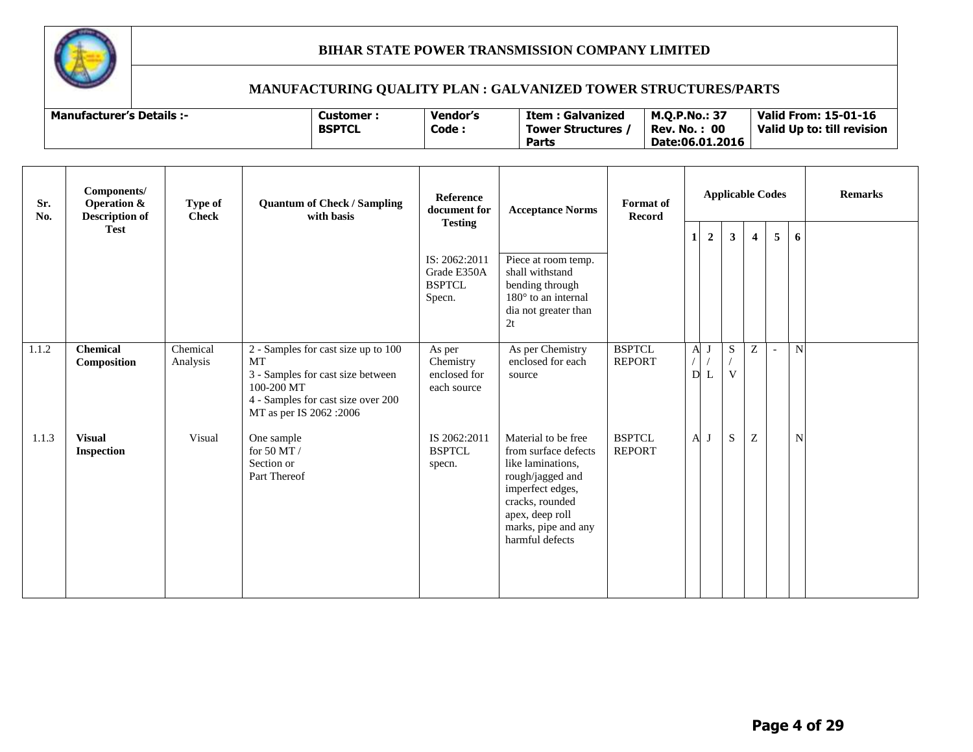

| Manufacturer's Details :- | Customer<br><b>BSPTCL</b> | Vendor's<br>Code | Item<br>: Galvanized<br><b>Tower Structures</b> | <b>M.O.P.No.: 37</b><br>-00<br>No.<br>Rev. | <b>Valid From: 15-01-16</b><br>Valid Up to: till revision |
|---------------------------|---------------------------|------------------|-------------------------------------------------|--------------------------------------------|-----------------------------------------------------------|
|                           |                           |                  | Parts                                           | Date:06.01.2016                            |                                                           |

| Sr.<br>No. | Components/<br><b>Operation &amp;</b><br><b>Description of</b> | Type of<br><b>Check</b> | <b>Quantum of Check / Sampling</b><br>with basis                                                                                                                     | Reference<br>document for                               | <b>Acceptance Norms</b><br><b>Testing</b>                                                                                                                                                |                                | <b>Applicable Codes</b>      |                |                             |                         |   | Format of<br><b>Record</b> |  |  |  | <b>Remarks</b> |
|------------|----------------------------------------------------------------|-------------------------|----------------------------------------------------------------------------------------------------------------------------------------------------------------------|---------------------------------------------------------|------------------------------------------------------------------------------------------------------------------------------------------------------------------------------------------|--------------------------------|------------------------------|----------------|-----------------------------|-------------------------|---|----------------------------|--|--|--|----------------|
|            | <b>Test</b>                                                    |                         |                                                                                                                                                                      |                                                         |                                                                                                                                                                                          |                                | $\mathbf{1}$                 | $\overline{2}$ | 3 <sup>1</sup>              | $\overline{\mathbf{4}}$ | 5 | 6                          |  |  |  |                |
|            |                                                                |                         |                                                                                                                                                                      | IS: 2062:2011<br>Grade E350A<br><b>BSPTCL</b><br>Specn. | Piece at room temp.<br>shall withstand<br>bending through<br>$180^\circ$ to an internal<br>dia not greater than<br>2t                                                                    |                                |                              |                |                             |                         |   |                            |  |  |  |                |
| 1.1.2      | <b>Chemical</b><br>Composition                                 | Chemical<br>Analysis    | 2 - Samples for cast size up to 100<br><b>MT</b><br>3 - Samples for cast size between<br>100-200 MT<br>4 - Samples for cast size over 200<br>MT as per IS 2062 :2006 | As per<br>Chemistry<br>enclosed for<br>each source      | As per Chemistry<br>enclosed for each<br>source                                                                                                                                          | <b>BSPTCL</b><br><b>REPORT</b> | $\mathbf{A}$<br>$\mathbf{D}$ | J<br>L         | ${\bf S}$<br>$\overline{V}$ | Z                       |   | N                          |  |  |  |                |
| 1.1.3      | <b>Visual</b><br><b>Inspection</b>                             | Visual                  | One sample<br>for 50 MT $/$<br>Section or<br>Part Thereof                                                                                                            | IS 2062:2011<br><b>BSPTCL</b><br>specn.                 | Material to be free<br>from surface defects<br>like laminations.<br>rough/jagged and<br>imperfect edges,<br>cracks, rounded<br>apex, deep roll<br>marks, pipe and any<br>harmful defects | <b>BSPTCL</b><br><b>REPORT</b> | A                            | J              | S                           | ${\bf Z}$               |   | N                          |  |  |  |                |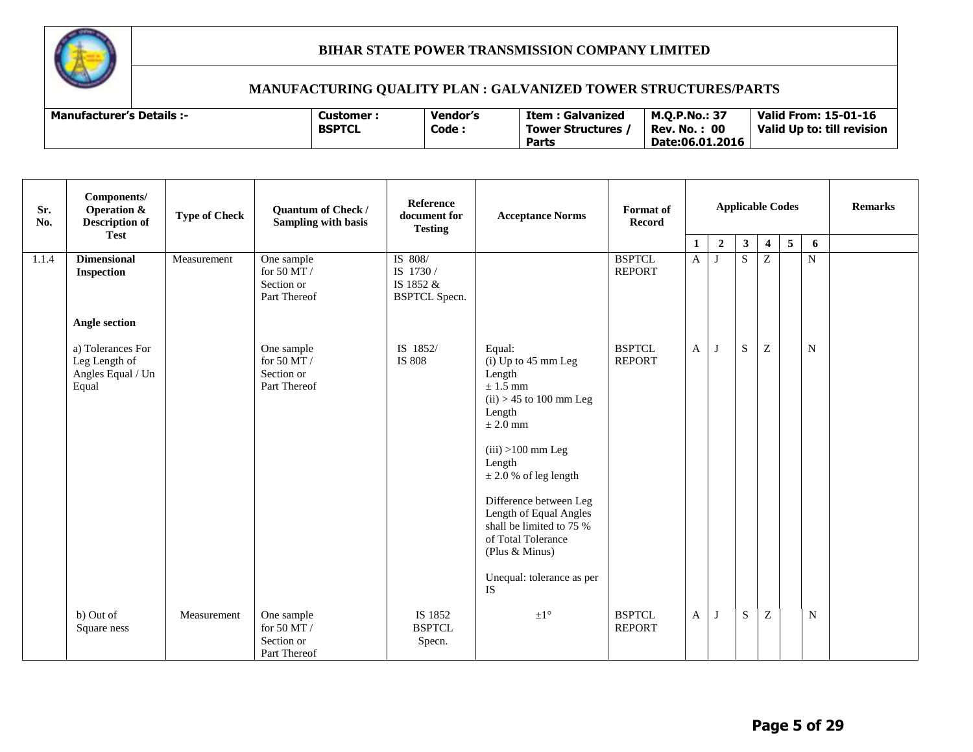

| <b>Manufacturer's Details :-</b> | Customer<br><b>BSPTCL</b> | Vendor's<br>Code : | : Galvanized<br>Item<br>Tower Structures<br>Parts | M.O.P.No.: 3,<br>00<br>. No.<br>Rev.<br>Date:06.01.2016 | <b>Valid From: 15-01-16</b><br>Valid Up to: till revision |
|----------------------------------|---------------------------|--------------------|---------------------------------------------------|---------------------------------------------------------|-----------------------------------------------------------|
|----------------------------------|---------------------------|--------------------|---------------------------------------------------|---------------------------------------------------------|-----------------------------------------------------------|

| Sr.<br>No. | Components/<br><b>Operation &amp;</b><br><b>Description of</b><br><b>Test</b> | <b>Type of Check</b> | Quantum of Check /<br><b>Sampling with basis</b>        | Reference<br>document for<br><b>Testing</b>               | <b>Acceptance Norms</b>                                                                                                                                                                                                                                                                                                                           | <b>Format</b> of<br>Record     | <b>Applicable Codes</b> |                                  | <b>Remarks</b> |                         |             |             |  |
|------------|-------------------------------------------------------------------------------|----------------------|---------------------------------------------------------|-----------------------------------------------------------|---------------------------------------------------------------------------------------------------------------------------------------------------------------------------------------------------------------------------------------------------------------------------------------------------------------------------------------------------|--------------------------------|-------------------------|----------------------------------|----------------|-------------------------|-------------|-------------|--|
|            |                                                                               |                      |                                                         |                                                           |                                                                                                                                                                                                                                                                                                                                                   |                                | 1                       | $\overline{2}$                   | $\mathbf{3}$   | $\overline{\mathbf{4}}$ | $5^{\circ}$ | 6           |  |
| 1.1.4      | <b>Dimensional</b><br>Inspection                                              | Measurement          | One sample<br>for 50 MT /<br>Section or<br>Part Thereof | IS 808/<br>IS 1730 /<br>IS 1852 &<br><b>BSPTCL Specn.</b> |                                                                                                                                                                                                                                                                                                                                                   | <b>BSPTCL</b><br><b>REPORT</b> | A                       | $\overline{S}$<br>$\overline{z}$ |                |                         |             | N           |  |
|            | Angle section                                                                 |                      |                                                         |                                                           |                                                                                                                                                                                                                                                                                                                                                   |                                |                         |                                  |                |                         |             |             |  |
|            | a) Tolerances For<br>Leg Length of<br>Angles Equal / Un<br>Equal              |                      | One sample<br>for 50 MT /<br>Section or<br>Part Thereof | IS 1852/<br>IS 808                                        | Equal:<br>$(i)$ Up to 45 mm Leg<br>Length<br>$\pm$ 1.5 mm<br>$(ii) > 45$ to 100 mm Leg<br>Length<br>$\pm 2.0$ mm<br>$(iii) > 100$ mm Leg<br>Length<br>$\pm$ 2.0 % of leg length<br>Difference between Leg<br>Length of Equal Angles<br>shall be limited to 75 %<br>of Total Tolerance<br>(Plus & Minus)<br>Unequal: tolerance as per<br><b>IS</b> | <b>BSPTCL</b><br><b>REPORT</b> | A                       | J                                | S              | $\boldsymbol{Z}$        |             | $\mathbf N$ |  |
|            | b) Out of<br>Square ness                                                      | Measurement          | One sample<br>for 50 MT /<br>Section or<br>Part Thereof | IS 1852<br><b>BSPTCL</b><br>Specn.                        | $\pm1^{\circ}$                                                                                                                                                                                                                                                                                                                                    | <b>BSPTCL</b><br><b>REPORT</b> | A                       | J                                | S              | $\overline{z}$          |             | N           |  |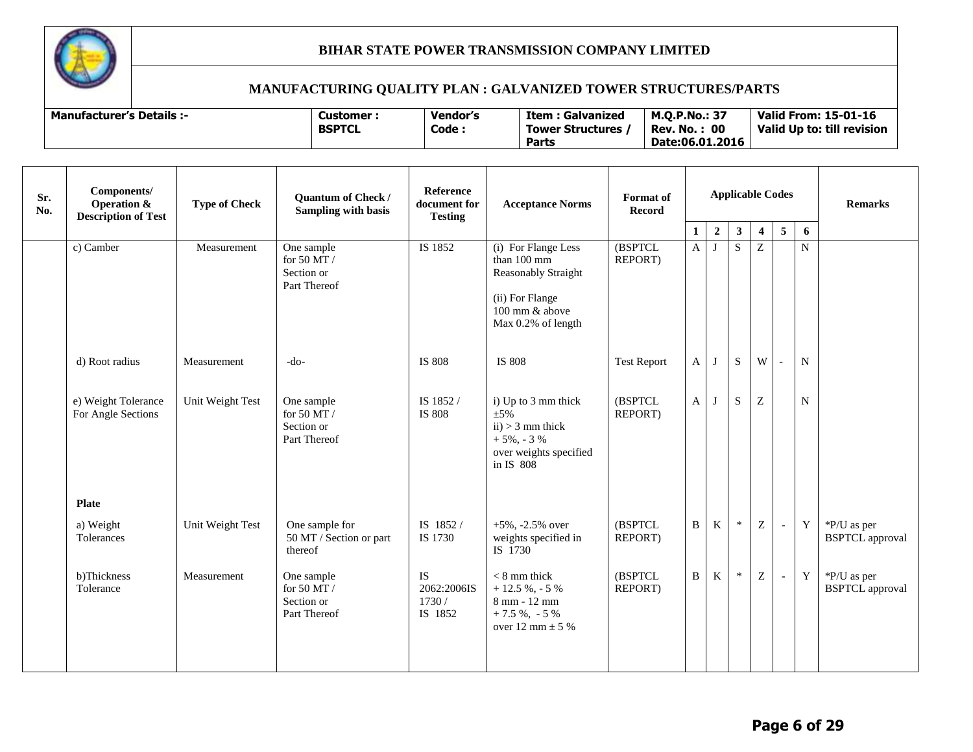

| <b>Manufacturer's Details :-</b> | Customer :    | Vendor's | Item<br>: Galvanized | <b>M.O.P.No.: 37</b> | <b>Valid From: 15-01-16</b> |
|----------------------------------|---------------|----------|----------------------|----------------------|-----------------------------|
|                                  | <b>BSPTCL</b> | Code:    | Tower Structures,    | -00<br>Rev. No.      | Valid Up to: till revision  |
|                                  |               |          | Parts                | Date:06.01.2016      |                             |

| Sr.<br>No. | Components/<br><b>Operation &amp;</b><br><b>Description of Test</b> | <b>Type of Check</b> | Quantum of Check /<br><b>Sampling with basis</b>          | Reference<br>document for<br><b>Testing</b>  | <b>Acceptance Norms</b>                                                                                              | Format of<br><b>Record</b> | <b>Applicable Codes</b> |                  |              |                         |   | <b>Remarks</b> |                                       |
|------------|---------------------------------------------------------------------|----------------------|-----------------------------------------------------------|----------------------------------------------|----------------------------------------------------------------------------------------------------------------------|----------------------------|-------------------------|------------------|--------------|-------------------------|---|----------------|---------------------------------------|
|            |                                                                     |                      |                                                           |                                              |                                                                                                                      |                            | 1                       | $\boldsymbol{2}$ | $\mathbf{3}$ | $\overline{\mathbf{4}}$ | 5 | 6              |                                       |
|            | c) Camber                                                           | Measurement          | One sample<br>for 50 MT /<br>Section or<br>Part Thereof   | IS 1852                                      | (i) For Flange Less<br>than 100 mm<br>Reasonably Straight<br>(ii) For Flange<br>100 mm & above<br>Max 0.2% of length | (BSPTCL<br>REPORT)         | $\mathbf{A}$            | $\bf J$          | S            | Z                       |   | $\mathbf N$    |                                       |
|            | d) Root radius                                                      | Measurement          | $-do-$                                                    | <b>IS 808</b>                                | <b>IS 808</b>                                                                                                        | <b>Test Report</b>         | $\mathbf{A}$            | J                | S            | W                       |   | $\mathbf N$    |                                       |
|            | e) Weight Tolerance<br>For Angle Sections                           | Unit Weight Test     | One sample<br>for 50 MT $/$<br>Section or<br>Part Thereof | IS 1852 /<br>IS 808                          | i) Up to 3 mm thick<br>$\pm 5\%$<br>$ii) > 3$ mm thick<br>$+5\%$ , - 3 %<br>over weights specified<br>in IS 808      | (BSPTCL<br>REPORT)         | $\mathbf{A}$            | $\bf{J}$         | S            | Z                       |   | N              |                                       |
|            | <b>Plate</b>                                                        |                      |                                                           |                                              |                                                                                                                      |                            |                         |                  |              |                         |   |                |                                       |
|            | a) Weight<br>Tolerances                                             | Unit Weight Test     | One sample for<br>50 MT / Section or part<br>thereof      | IS 1852/<br>IS 1730                          | $+5\%$ , -2.5% over<br>weights specified in<br>IS 1730                                                               | (BSPTCL<br>REPORT)         | $\mathbf B$             | $\mathbf K$      | $\ast$       | $\boldsymbol{Z}$        |   | Y              | *P/U as per<br><b>BSPTCL</b> approval |
|            | b)Thickness<br>Tolerance                                            | Measurement          | One sample<br>for 50 MT $/$<br>Section or<br>Part Thereof | <b>IS</b><br>2062:2006IS<br>1730/<br>IS 1852 | $< 8$ mm thick<br>$+12.5 \%$ , - 5 %<br>8 mm - 12 mm<br>$+7.5 \%$ , $-5 \%$<br>over 12 mm $\pm$ 5 %                  | (BSPTCL<br>REPORT)         | $\, {\bf B}$            | K                | $\ast$       | Z                       |   | $\mathbf Y$    | *P/U as per<br><b>BSPTCL</b> approval |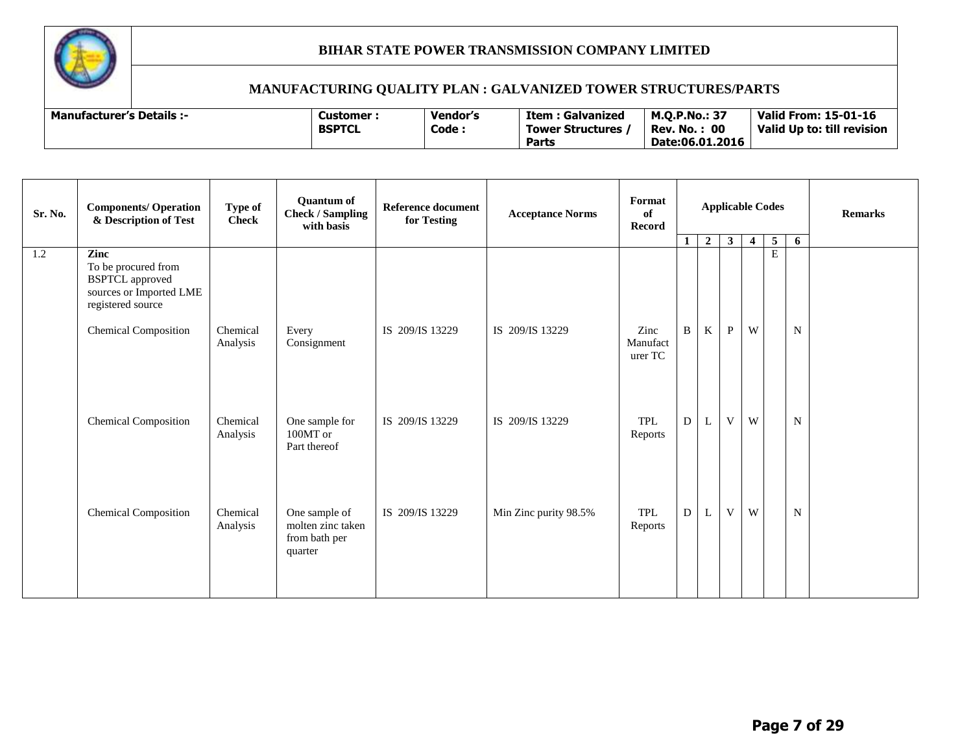

| Sr. No. | <b>Components/ Operation</b><br>& Description of Test                                         | Type of<br><b>Check</b> | <b>Quantum of</b><br><b>Check / Sampling</b><br>with basis     | <b>Reference document</b><br>for Testing | <b>Acceptance Norms</b> | Format<br>of<br><b>Record</b> |              |                  |              | <b>Applicable Codes</b> |        |             | <b>Remarks</b> |
|---------|-----------------------------------------------------------------------------------------------|-------------------------|----------------------------------------------------------------|------------------------------------------|-------------------------|-------------------------------|--------------|------------------|--------------|-------------------------|--------|-------------|----------------|
| 1.2     | Zinc                                                                                          |                         |                                                                |                                          |                         |                               | $\mathbf{1}$ | $\boldsymbol{2}$ | $\mathbf{3}$ | $\overline{4}$          | 5<br>E | 6           |                |
|         | To be procured from<br><b>BSPTCL</b> approved<br>sources or Imported LME<br>registered source |                         |                                                                |                                          |                         |                               |              |                  |              |                         |        |             |                |
|         | <b>Chemical Composition</b>                                                                   | Chemical<br>Analysis    | Every<br>Consignment                                           | IS 209/IS 13229                          | IS 209/IS 13229         | Zinc<br>Manufact<br>urer TC   | B            | $\rm K$          | $\mathbf{P}$ | W                       |        | $\mathbf N$ |                |
|         | <b>Chemical Composition</b>                                                                   | Chemical<br>Analysis    | One sample for<br>100MT or<br>Part thereof                     | IS 209/IS 13229                          | IS 209/IS 13229         | TPL<br>Reports                | D            | L                | V            | W                       |        | $\mathbf N$ |                |
|         | <b>Chemical Composition</b>                                                                   | Chemical<br>Analysis    | One sample of<br>molten zinc taken<br>from bath per<br>quarter | IS 209/IS 13229                          | Min Zinc purity 98.5%   | <b>TPL</b><br>Reports         | D            | L                | V            | W                       |        | ${\bf N}$   |                |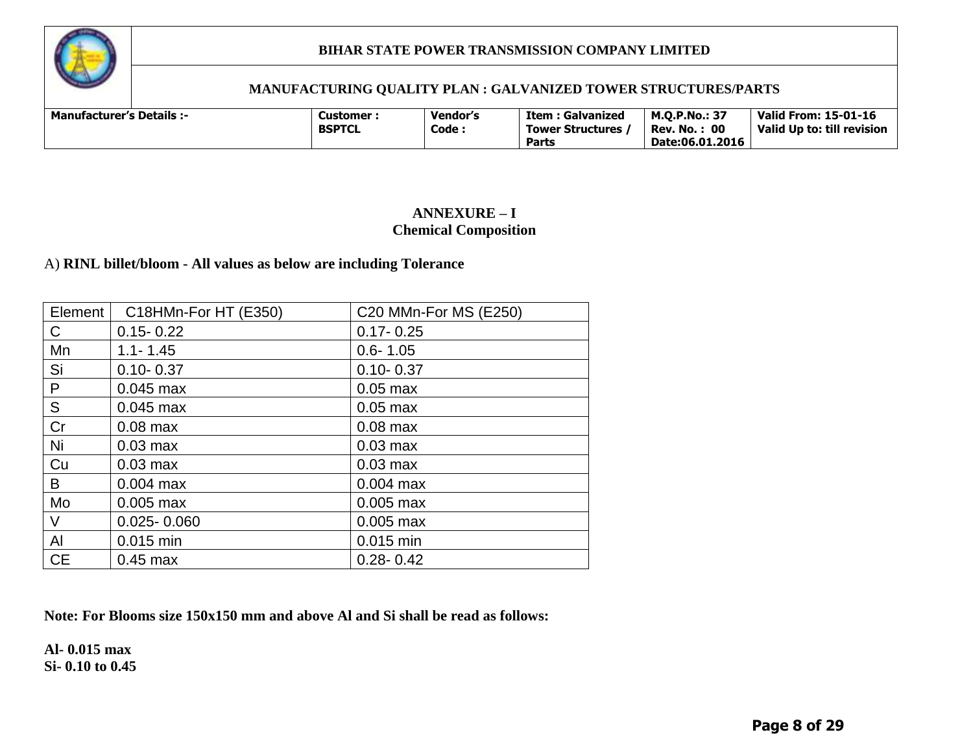

#### **MANUFACTURING QUALITY PLAN : GALVANIZED TOWER STRUCTURES/PARTS**

| <b>Manufacturer's Details :-</b> |  | Customer :<br><b>BSPTCL</b> | <b>Vendor's</b><br>Code. | Item : Galvanized<br><b>Tower Structures</b><br><b>Parts</b> | <b>M.O.P.No.: 37</b><br>: 00<br>Rev. No. .<br>Date:06.01.2016 | <b>Valid From: 15-01-16</b><br>Valid Up to: till revision |
|----------------------------------|--|-----------------------------|--------------------------|--------------------------------------------------------------|---------------------------------------------------------------|-----------------------------------------------------------|
|----------------------------------|--|-----------------------------|--------------------------|--------------------------------------------------------------|---------------------------------------------------------------|-----------------------------------------------------------|

#### **ANNEXURE – I Chemical Composition**

#### A) **RINL billet/bloom - All values as below are including Tolerance**

| Element   | C18HMn-For HT (E350) | C20 MMn-For MS (E250) |
|-----------|----------------------|-----------------------|
| C         | $0.15 - 0.22$        | $0.17 - 0.25$         |
| Mn        | $1.1 - 1.45$         | $0.6 - 1.05$          |
| Si        | $0.10 - 0.37$        | $0.10 - 0.37$         |
| P         | $0.045$ max          | $0.05$ max            |
| S         | $0.045$ max          | $0.05$ max            |
| Cr        | $0.08$ max           | $0.08$ max            |
| Ni        | $0.03$ max           | $0.03$ max            |
| Cu        | $0.03$ max           | $0.03$ max            |
| B         | $0.004$ max          | $0.004$ max           |
| Mo        | $0.005$ max          | $0.005$ max           |
| V         | $0.025 - 0.060$      | $0.005$ max           |
| Al        | 0.015 min            | 0.015 min             |
| <b>CE</b> | $0.45$ max           | $0.28 - 0.42$         |

**Note: For Blooms size 150x150 mm and above Al and Si shall be read as follows:**

**Al- 0.015 max Si- 0.10 to 0.45**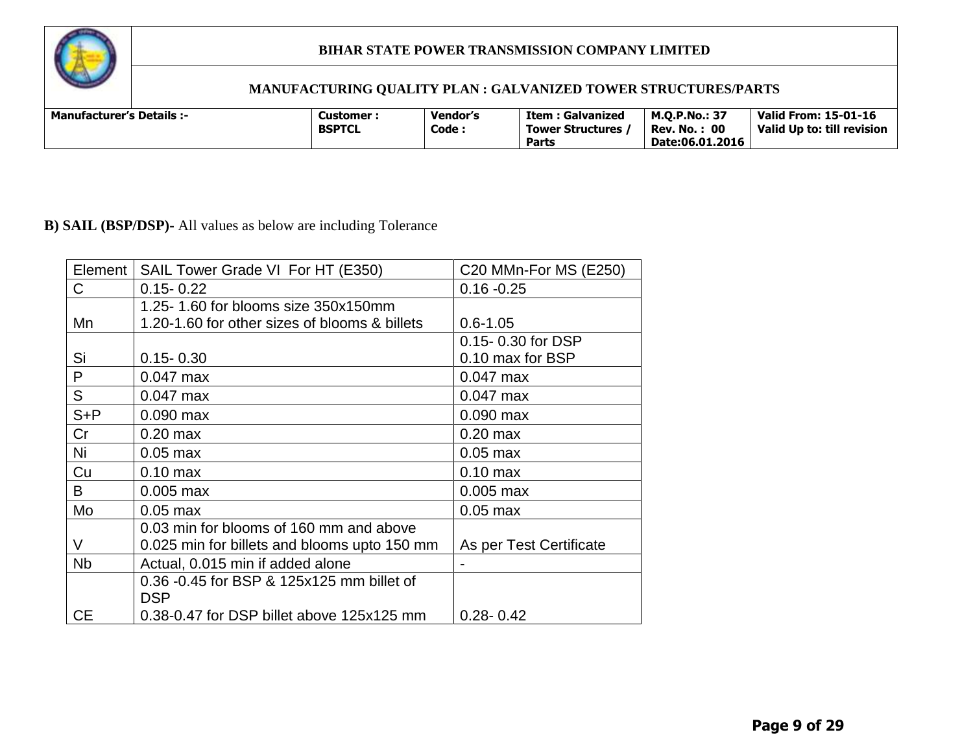

# **MANUFACTURING QUALITY PLAN : GALVANIZED TOWER STRUCTURES/PARTS**

| <b>Manufacturer's Details:-</b> | Customer<br><b>BSPTCL</b> | Vendor's<br>Code: | Item : Galvanized<br>Tower Structures,<br><b>Parts</b> | <b>M.O.P.No.: 37</b><br>: 00<br>Rev. No.<br>Date:06.01.2016 | <b>Valid From: 15-01-16</b><br>Valid Up to: till revision |
|---------------------------------|---------------------------|-------------------|--------------------------------------------------------|-------------------------------------------------------------|-----------------------------------------------------------|
|---------------------------------|---------------------------|-------------------|--------------------------------------------------------|-------------------------------------------------------------|-----------------------------------------------------------|

# **B) SAIL (BSP/DSP)-** All values as below are including Tolerance

| Element      | SAIL Tower Grade VI For HT (E350)             | C20 MMn-For MS (E250)   |
|--------------|-----------------------------------------------|-------------------------|
| $\mathsf{C}$ | $0.15 - 0.22$                                 | $0.16 - 0.25$           |
|              | 1.25-1.60 for blooms size 350x150mm           |                         |
| Mn           | 1.20-1.60 for other sizes of blooms & billets | $0.6 - 1.05$            |
|              |                                               | 0.15-0.30 for DSP       |
| Si           | $0.15 - 0.30$                                 | 0.10 max for BSP        |
| P            | $0.047$ max                                   | $0.047$ max             |
| S            | $0.047$ max                                   | $0.047$ max             |
| $S + P$      | $0.090$ max                                   | $0.090$ max             |
| Cr           | $0.20$ max                                    | $0.20$ max              |
| Ni           | $0.05$ max                                    | $0.05$ max              |
| Cu           | $0.10$ max                                    | $0.10$ max              |
| B            | $0.005$ max                                   | $0.005$ max             |
| Mo           | $0.05$ max                                    | $0.05$ max              |
|              | 0.03 min for blooms of 160 mm and above       |                         |
| V            | 0.025 min for billets and blooms upto 150 mm  | As per Test Certificate |
| <b>Nb</b>    | Actual, 0.015 min if added alone              |                         |
|              | 0.36 -0.45 for BSP & 125x125 mm billet of     |                         |
|              | <b>DSP</b>                                    |                         |
| <b>CE</b>    | 0.38-0.47 for DSP billet above 125x125 mm     | $0.28 - 0.42$           |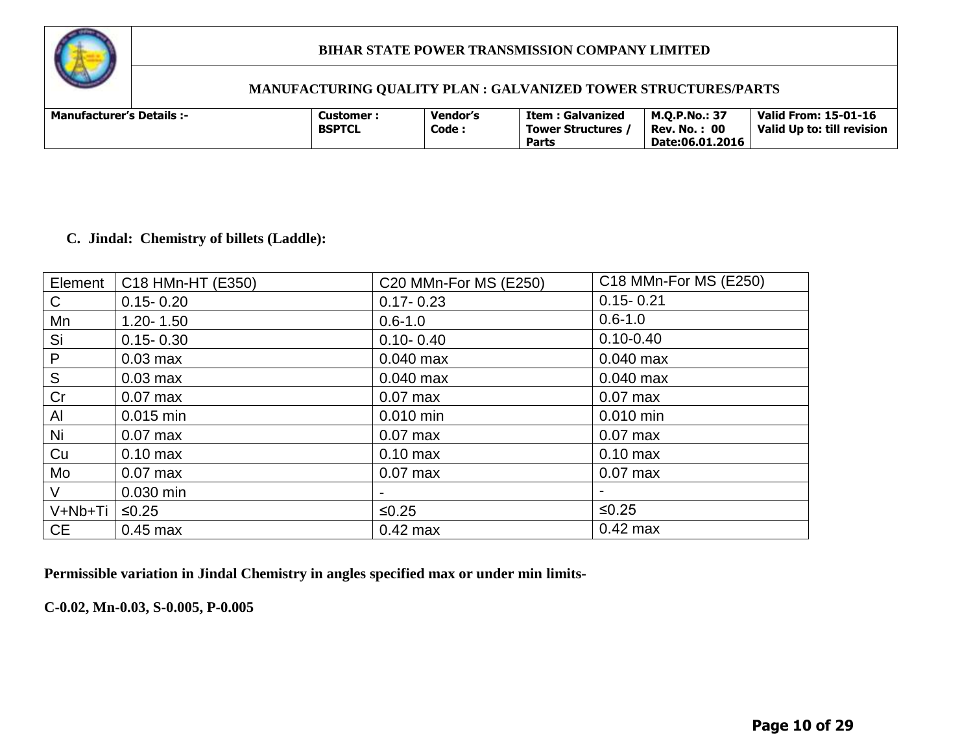

#### **MANUFACTURING QUALITY PLAN : GALVANIZED TOWER STRUCTURES/PARTS**

| <b>Manufacturer's Details :-</b> | Customer :<br><b>BSPTCL</b> | <b>Vendor's</b><br>Code: | Item : Galvanized<br><b>Tower Structures</b><br>Parts | <b>M.O.P.No.: 37</b><br>: 00<br>Rev. No.<br>Date:06.01.2016 | <b>Valid From: 15-01-16</b><br>Valid Up to: till revision |
|----------------------------------|-----------------------------|--------------------------|-------------------------------------------------------|-------------------------------------------------------------|-----------------------------------------------------------|
|----------------------------------|-----------------------------|--------------------------|-------------------------------------------------------|-------------------------------------------------------------|-----------------------------------------------------------|

#### **C. Jindal: Chemistry of billets (Laddle):**

| Element   | C18 HMn-HT (E350)  | C20 MMn-For MS (E250) | C18 MMn-For MS (E250) |
|-----------|--------------------|-----------------------|-----------------------|
| C         | $0.15 - 0.20$      | $0.17 - 0.23$         | $0.15 - 0.21$         |
| Mn        | $1.20 - 1.50$      | $0.6 - 1.0$           | $0.6 - 1.0$           |
| Si        | $0.15 - 0.30$      | $0.10 - 0.40$         | $0.10 - 0.40$         |
| P         | $0.03$ max         | $0.040$ max           | $0.040$ max           |
| S         | $0.03$ max         | $0.040$ max           | $0.040$ max           |
| Cr        | $0.07$ max         | $0.07$ max            | $0.07$ max            |
| Al        | $0.015$ min        | 0.010 min             | $0.010$ min           |
| Ni        | $0.07$ max         | $0.07$ max            | $0.07$ max            |
| Cu        | $0.10 \text{ max}$ | $0.10$ max            | $0.10$ max            |
| Mo        | $0.07$ max         | $0.07$ max            | $0.07$ max            |
| V         | 0.030 min          |                       |                       |
| V+Nb+Ti   | $≤0.25$            | $≤0.25$               | $≤0.25$               |
| <b>CE</b> | $0.45$ max         | $0.42$ max            | $0.42$ max            |

**Permissible variation in Jindal Chemistry in angles specified max or under min limits-**

**C-0.02, Mn-0.03, S-0.005, P-0.005**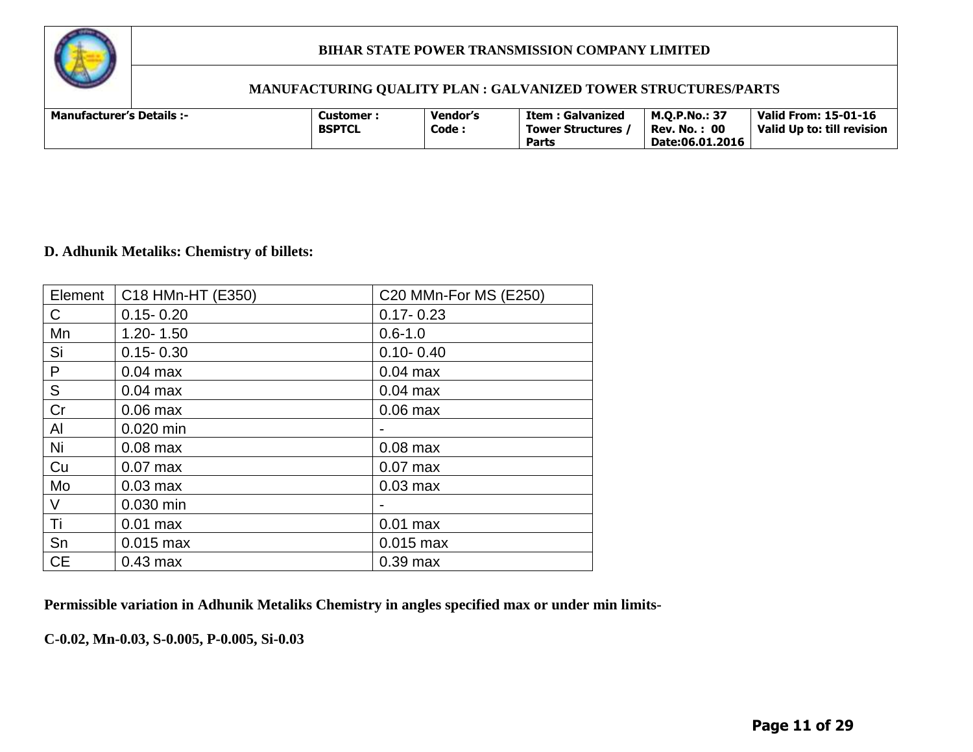

# **MANUFACTURING QUALITY PLAN : GALVANIZED TOWER STRUCTURES/PARTS**

| <b>Manufacturer's Details :-</b><br>Customer :<br><b>BSPTCL</b> | <b>Vendor's</b><br>Code : | <b>Item: Galvanized</b><br>Tower Structures,<br>Parts | M.O.P.No.: 37<br>: 00<br>Rev. No. :<br>Date:06.01.2016 | Valid From: 15-01-16<br>Valid Up to: till revision |
|-----------------------------------------------------------------|---------------------------|-------------------------------------------------------|--------------------------------------------------------|----------------------------------------------------|
|-----------------------------------------------------------------|---------------------------|-------------------------------------------------------|--------------------------------------------------------|----------------------------------------------------|

#### **D. Adhunik Metaliks: Chemistry of billets:**

| Element       | C18 HMn-HT (E350) | C20 MMn-For MS (E250) |
|---------------|-------------------|-----------------------|
| C             | $0.15 - 0.20$     | $0.17 - 0.23$         |
| Mn            | $1.20 - 1.50$     | $0.6 - 1.0$           |
| Si            | $0.15 - 0.30$     | $0.10 - 0.40$         |
| P             | $0.04$ max        | $0.04$ max            |
| ${\mathsf S}$ | $0.04$ max        | $0.04$ max            |
| Cr            | $0.06$ max        | $0.06$ max            |
| Al            | 0.020 min         |                       |
| Ni            | $0.08$ max        | $0.08$ max            |
| Cu            | $0.07$ max        | $0.07$ max            |
| Mo            | $0.03$ max        | $0.03$ max            |
| $\vee$        | 0.030 min         |                       |
| Τi            | $0.01$ max        | $0.01$ max            |
| Sn            | $0.015$ max       | $0.015$ max           |
| <b>CE</b>     | $0.43$ max        | $0.39$ max            |

**Permissible variation in Adhunik Metaliks Chemistry in angles specified max or under min limits-**

**C-0.02, Mn-0.03, S-0.005, P-0.005, Si-0.03**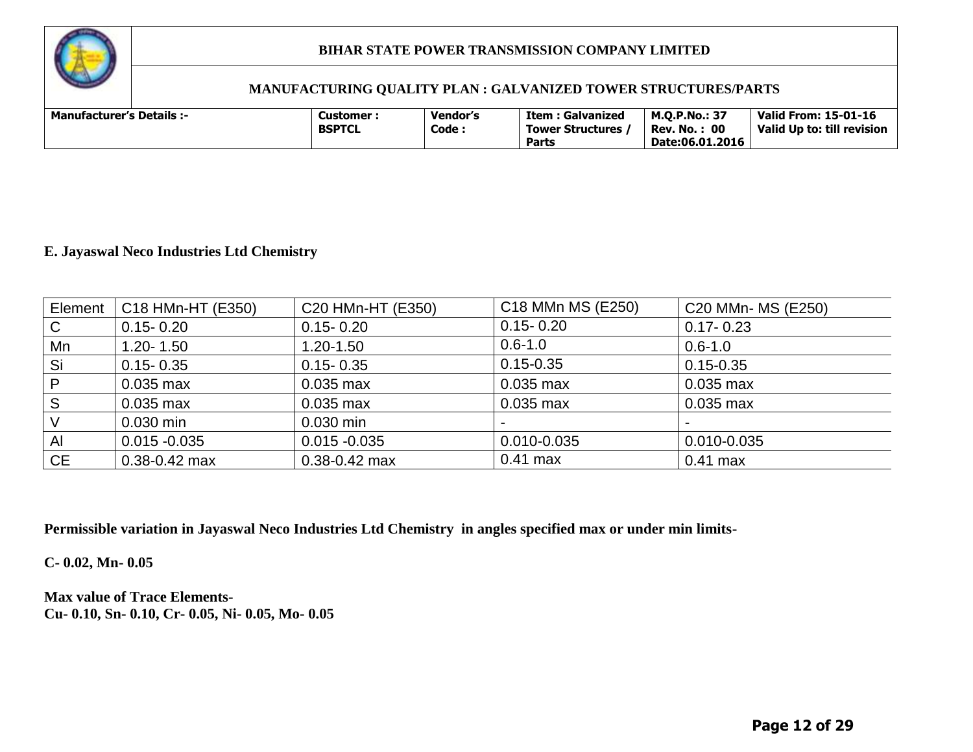

#### **MANUFACTURING QUALITY PLAN : GALVANIZED TOWER STRUCTURES/PARTS**

| <b>Manufacturer's Details :-</b> | Customer <sup>.</sup><br><b>BSPTCL</b> | <b>Vendor's</b><br>Code | Item : Galvanized<br><b>Tower Structures</b><br><b>Parts</b> | <b>M.O.P.No.: 37</b><br>: 00<br>Rev. No.:<br>Date:06.01.2016 | <b>Valid From: 15-01-16</b><br>Valid Up to: till revision |
|----------------------------------|----------------------------------------|-------------------------|--------------------------------------------------------------|--------------------------------------------------------------|-----------------------------------------------------------|
|----------------------------------|----------------------------------------|-------------------------|--------------------------------------------------------------|--------------------------------------------------------------|-----------------------------------------------------------|

#### **E. Jayaswal Neco Industries Ltd Chemistry**

| Element      | C18 HMn-HT (E350) | C20 HMn-HT (E350) | C <sub>18</sub> MM <sub>n</sub> M <sub>S</sub> (E <sub>250</sub> ) | C20 MMn- MS (E250) |
|--------------|-------------------|-------------------|--------------------------------------------------------------------|--------------------|
| $\mathsf{C}$ | $0.15 - 0.20$     | $0.15 - 0.20$     | $0.15 - 0.20$                                                      | $0.17 - 0.23$      |
| Mn           | $1.20 - 1.50$     | $1.20 - 1.50$     | $0.6 - 1.0$                                                        | $0.6 - 1.0$        |
| Si           | $0.15 - 0.35$     | $0.15 - 0.35$     | $0.15 - 0.35$                                                      | $0.15 - 0.35$      |
| P            | $0.035$ max       | $0.035$ max       | 0.035 max                                                          | $0.035$ max        |
| S            | $0.035$ max       | $0.035$ max       | 0.035 max                                                          | $0.035$ max        |
| $\vee$       | 0.030 min         | $0.030$ min       | $\overline{\phantom{0}}$                                           |                    |
| $\mathsf{A}$ | $0.015 - 0.035$   | $0.015 - 0.035$   | 0.010-0.035                                                        | 0.010-0.035        |
| <b>CE</b>    | $0.38 - 0.42$ max | $0.38 - 0.42$ max | $0.41$ max                                                         | $0.41$ max         |

**Permissible variation in Jayaswal Neco Industries Ltd Chemistry in angles specified max or under min limits-**

**C- 0.02, Mn- 0.05**

**Max value of Trace Elements-Cu- 0.10, Sn- 0.10, Cr- 0.05, Ni- 0.05, Mo- 0.05**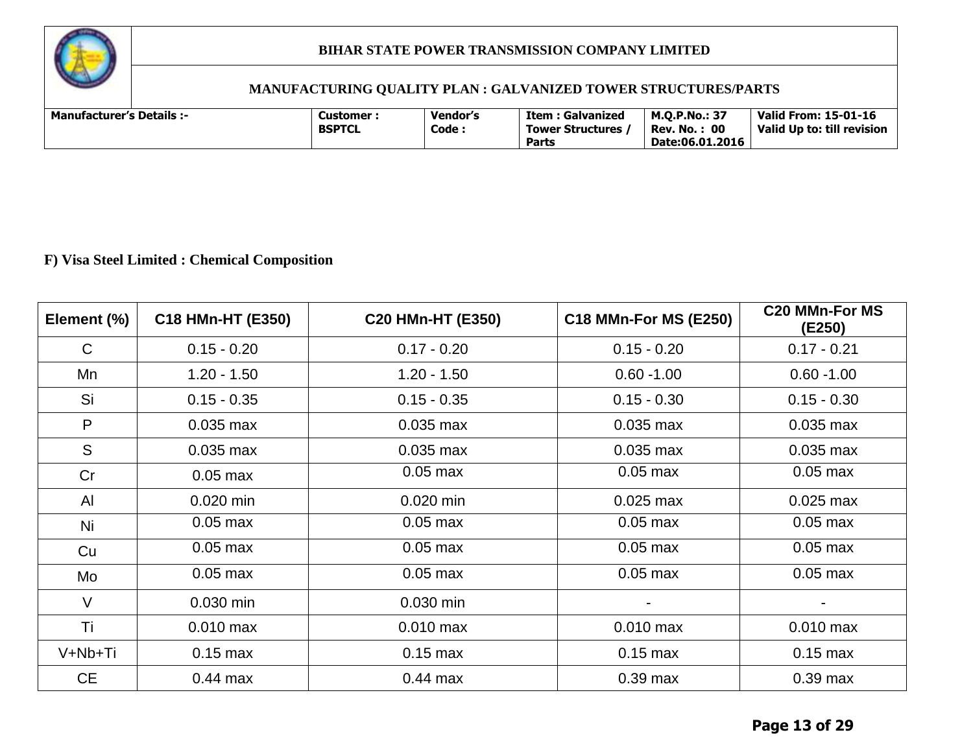

# **MANUFACTURING QUALITY PLAN : GALVANIZED TOWER STRUCTURES/PARTS**

| <b>Manufacturer's Details :-</b> |  | Customer :<br><b>BSPTCL</b> | <b>Vendor's</b><br>Code. | Item : Galvanized<br>Tower Structures<br><b>Parts</b> | <b>M.O.P.No.: 37</b><br>$\cdot$ 00<br>Rev. No.<br>Date:06.01.2016 | <b>Valid From: 15-01-16</b><br>Valid Up to: till revision |
|----------------------------------|--|-----------------------------|--------------------------|-------------------------------------------------------|-------------------------------------------------------------------|-----------------------------------------------------------|
|----------------------------------|--|-----------------------------|--------------------------|-------------------------------------------------------|-------------------------------------------------------------------|-----------------------------------------------------------|

# **F) Visa Steel Limited : Chemical Composition**

| Element (%)  | C18 HMn-HT (E350) | C20 HMn-HT (E350) | <b>C18 MMn-For MS (E250)</b> | <b>C20 MMn-For MS</b><br>(E250) |
|--------------|-------------------|-------------------|------------------------------|---------------------------------|
| $\mathsf{C}$ | $0.15 - 0.20$     | $0.17 - 0.20$     | $0.15 - 0.20$                | $0.17 - 0.21$                   |
| Mn           | $1.20 - 1.50$     | $1.20 - 1.50$     | $0.60 - 1.00$                | $0.60 - 1.00$                   |
| Si           | $0.15 - 0.35$     | $0.15 - 0.35$     | $0.15 - 0.30$                | $0.15 - 0.30$                   |
| P            | $0.035$ max       | $0.035$ max       | $0.035$ max                  | $0.035$ max                     |
| S            | $0.035$ max       | $0.035$ max       | $0.035$ max                  | $0.035$ max                     |
| Cr           | $0.05$ max        | $0.05$ max        | $0.05$ max                   | $0.05$ max                      |
| Al           | $0.020$ min       | 0.020 min         | $0.025$ max                  | $0.025$ max                     |
| Ni           | $0.05$ max        | $0.05$ max        | $0.05$ max                   | $0.05$ max                      |
| Cu           | $0.05$ max        | $0.05$ max        | $0.05$ max                   | $0.05$ max                      |
| Mo           | $0.05$ max        | $0.05$ max        | $0.05$ max                   | $0.05$ max                      |
| $\vee$       | 0.030 min         | 0.030 min         |                              |                                 |
| Τi           | $0.010$ max       | $0.010$ max       | $0.010$ max                  | $0.010$ max                     |
| V+Nb+Ti      | $0.15$ max        | $0.15$ max        | $0.15$ max                   | $0.15$ max                      |
| <b>CE</b>    | $0.44$ max        | $0.44$ max        | $0.39$ max                   | $0.39$ max                      |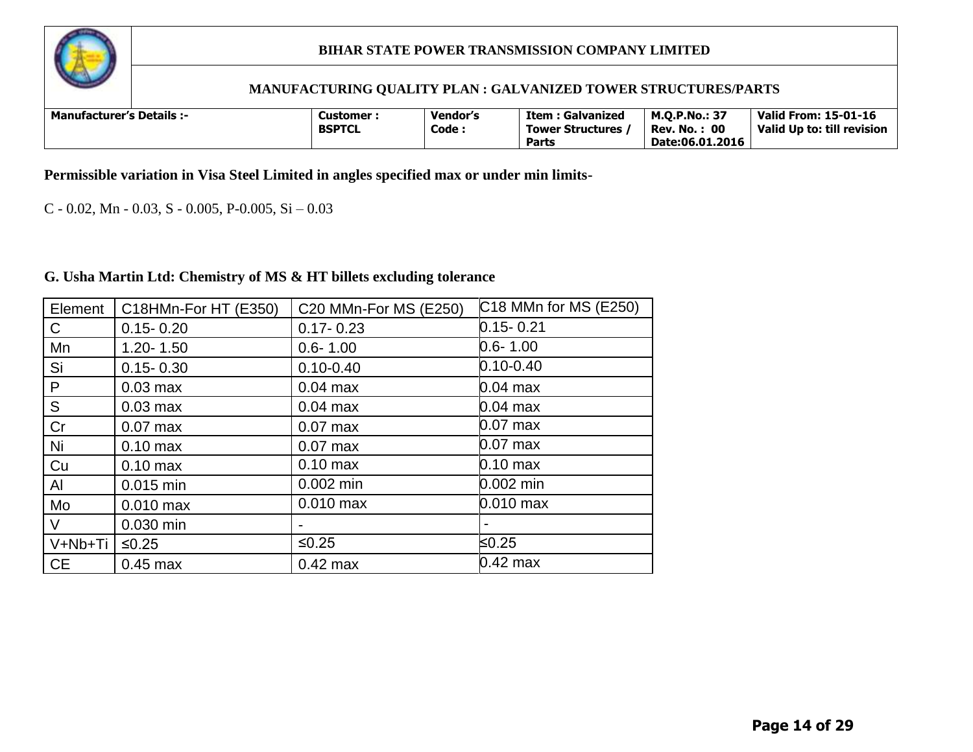

#### **MANUFACTURING QUALITY PLAN : GALVANIZED TOWER STRUCTURES/PARTS**

| <b>Manufacturer's Details :-</b> |  | Customer <sup>.</sup><br><b>BSPTCL</b> | Vendor's<br>Code: | <b>Item: Galvanized</b><br><b>Tower Structures</b><br>Parts | <b>M.O.P.No.: 37</b><br>$\cdot$ 00<br>Rev. No. .<br>Date:06.01.2016 | <b>Valid From: 15-01-16</b><br>Valid Up to: till revision |
|----------------------------------|--|----------------------------------------|-------------------|-------------------------------------------------------------|---------------------------------------------------------------------|-----------------------------------------------------------|
|----------------------------------|--|----------------------------------------|-------------------|-------------------------------------------------------------|---------------------------------------------------------------------|-----------------------------------------------------------|

**Permissible variation in Visa Steel Limited in angles specified max or under min limits-**

C - 0.02, Mn - 0.03, S - 0.005, P-0.005, Si – 0.03

#### **G. Usha Martin Ltd: Chemistry of MS & HT billets excluding tolerance**

| Element   | C18HMn-For HT (E350) | C20 MMn-For MS (E250) | C18 MMn for MS (E250) |
|-----------|----------------------|-----------------------|-----------------------|
| C         | $0.15 - 0.20$        | $0.17 - 0.23$         | $0.15 - 0.21$         |
| Mn        | $1.20 - 1.50$        | $0.6 - 1.00$          | $0.6 - 1.00$          |
| Si        | $0.15 - 0.30$        | $0.10 - 0.40$         | $0.10 - 0.40$         |
| P         | $0.03$ max           | $0.04$ max            | $0.04$ max            |
| S         | $0.03$ max           | $0.04$ max            | $0.04$ max            |
| Cr        | $0.07$ max           | $0.07$ max            | $0.07$ max            |
| Ni        | $0.10$ max           | $0.07$ max            | $0.07$ max            |
| Cu        | $0.10 \text{ max}$   | $0.10$ max            | $0.10 \text{ max}$    |
| Al        | 0.015 min            | $0.002$ min           | 0.002 min             |
| Mo        | $0.010$ max          | $0.010$ max           | $0.010$ max           |
| V         | 0.030 min            |                       |                       |
| V+Nb+Ti   | $≤0.25$              | $≤0.25$               | ≤0.25                 |
| <b>CE</b> | $0.45$ max           | $0.42$ max            | $0.42$ max            |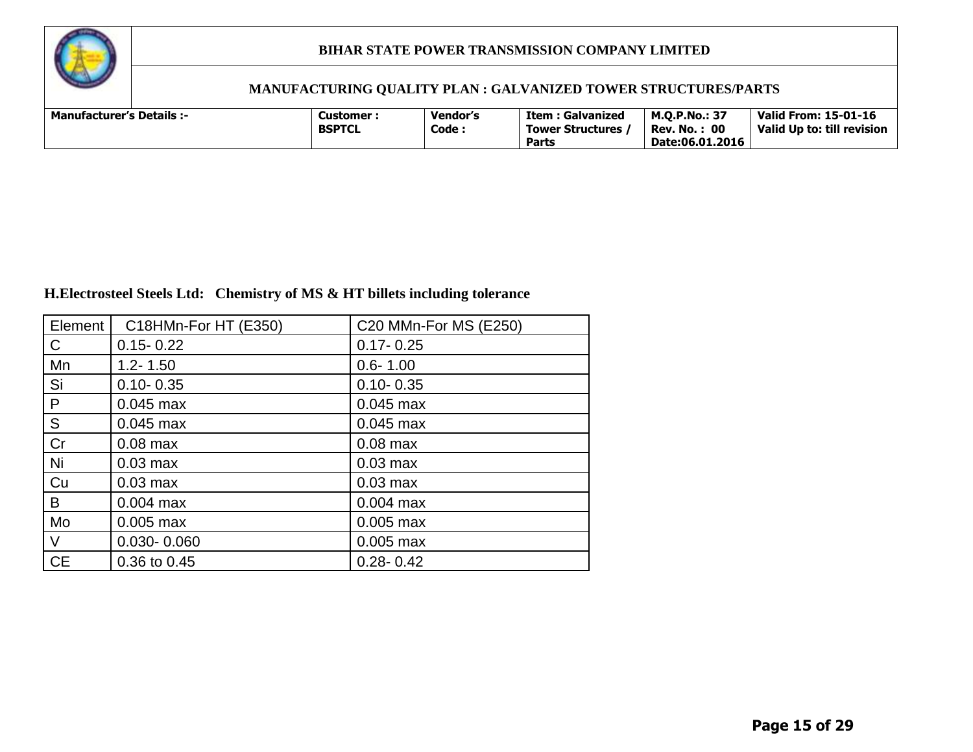

# **MANUFACTURING QUALITY PLAN : GALVANIZED TOWER STRUCTURES/PARTS**

| <b>Manufacturer's Details :-</b> | Customer :    | <b>Vendor's</b> | Item : Galvanized       | <b>M.O.P.No.: 37</b> | Valid From: 15-01-16       |
|----------------------------------|---------------|-----------------|-------------------------|----------------------|----------------------------|
|                                  | <b>BSPTCL</b> | Code:           | <b>Tower Structures</b> | <b>Rev. No.: 00</b>  | Valid Up to: till revision |
|                                  |               |                 | <b>Parts</b>            | Date:06.01.2016      |                            |

# **H.Electrosteel Steels Ltd: Chemistry of MS & HT billets including tolerance**

| Element      | C18HMn-For HT (E350) | C20 MMn-For MS (E250) |
|--------------|----------------------|-----------------------|
| $\mathsf{C}$ | $0.15 - 0.22$        | $0.17 - 0.25$         |
| Mn           | $1.2 - 1.50$         | $0.6 - 1.00$          |
| Si           | $0.10 - 0.35$        | $0.10 - 0.35$         |
| P            | $0.045$ max          | $0.045$ max           |
| S            | $0.045$ max          | $0.045$ max           |
| Cr           | $0.08$ max           | $0.08$ max            |
| Ni           | $0.03$ max           | $0.03$ max            |
| Cu           | $0.03$ max           | $0.03$ max            |
| B            | $0.004$ max          | $0.004$ max           |
| Mo           | $0.005$ max          | $0.005$ max           |
| $\vee$       | $0.030 - 0.060$      | $0.005$ max           |
| <b>CE</b>    | 0.36 to 0.45         | $0.28 - 0.42$         |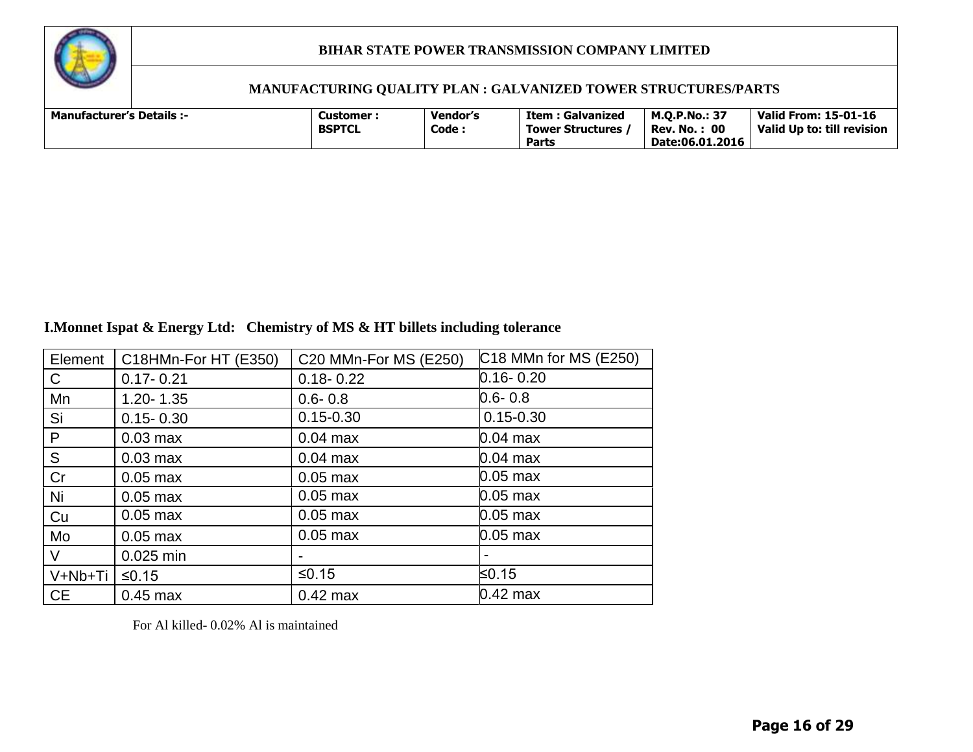

#### **MANUFACTURING QUALITY PLAN : GALVANIZED TOWER STRUCTURES/PARTS**

| <b>Manufacturer's Details :-</b> | Customer :    | <b>Vendor's</b> | Item : Galvanized       | <b>M.O.P.No.: 37</b> | Valid From: 15-01-16       |
|----------------------------------|---------------|-----------------|-------------------------|----------------------|----------------------------|
|                                  | <b>BSPTCL</b> | Code:           | <b>Tower Structures</b> | <b>Rev. No.: 00</b>  | Valid Up to: till revision |
|                                  |               |                 | <b>Parts</b>            | Date:06.01.2016      |                            |

# **I.Monnet Ispat & Energy Ltd: Chemistry of MS & HT billets including tolerance**

| Element   | C18HMn-For HT (E350) | C20 MMn-For MS (E250) | C18 MMn for MS (E250) |
|-----------|----------------------|-----------------------|-----------------------|
| C         | $0.17 - 0.21$        | $0.18 - 0.22$         | $0.16 - 0.20$         |
| Mn        | $1.20 - 1.35$        | $0.6 - 0.8$           | $0.6 - 0.8$           |
| Si        | $0.15 - 0.30$        | $0.15 - 0.30$         | $0.15 - 0.30$         |
| P         | $0.03$ max           | $0.04$ max            | $0.04$ max            |
| S         | $0.03$ max           | $0.04$ max            | $0.04$ max            |
| Cr        | $0.05$ max           | $0.05$ max            | 0.05 max              |
| Ni        | $0.05$ max           | $0.05$ max            | $0.05$ max            |
| Cu        | $0.05$ max           | $0.05$ max            | $0.05$ max            |
| Mo        | $0.05$ max           | $0.05$ max            | $0.05 \text{ max}$    |
| V         | 0.025 min            |                       |                       |
| V+Nb+Ti   | $≤0.15$              | $≤0.15$               | ≤0.15                 |
| <b>CE</b> | $0.45$ max           | $0.42$ max            | $0.42$ max            |

For Al killed- 0.02% Al is maintained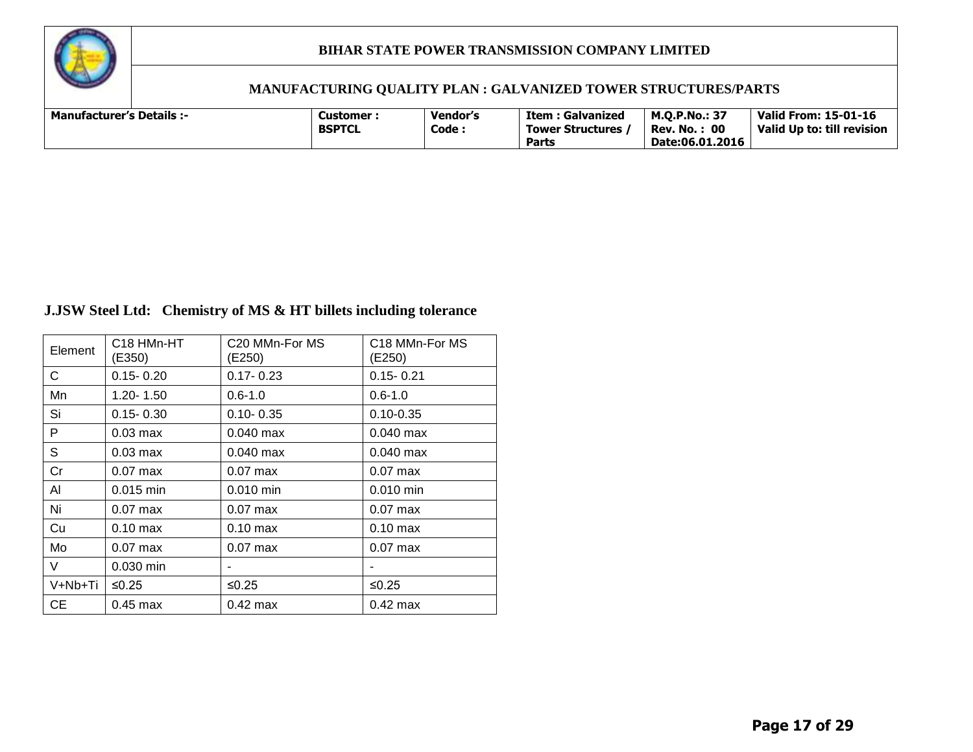

#### **MANUFACTURING QUALITY PLAN : GALVANIZED TOWER STRUCTURES/PARTS**

| <b>Manufacturer's Details :-</b> |  | Customer :<br><b>BSPTCL</b> | <b>Vendor's</b><br>Code: | Item : Galvanized<br><b>Tower Structures</b><br><b>Parts</b> | <b>M.O.P.No.: 37</b><br>: 00<br>Rev. No. .<br>Date:06.01.2016 | Valid From: 15-01-16<br>Valid Up to: till revision |
|----------------------------------|--|-----------------------------|--------------------------|--------------------------------------------------------------|---------------------------------------------------------------|----------------------------------------------------|
|----------------------------------|--|-----------------------------|--------------------------|--------------------------------------------------------------|---------------------------------------------------------------|----------------------------------------------------|

# **J.JSW Steel Ltd: Chemistry of MS & HT billets including tolerance**

| Element   | C <sub>18</sub> HM <sub>n</sub> -HT<br>(E350) | C20 MMn-For MS<br>(E250) | C18 MMn-For MS<br>(E250) |
|-----------|-----------------------------------------------|--------------------------|--------------------------|
| C         | $0.15 - 0.20$                                 | $0.17 - 0.23$            | $0.15 - 0.21$            |
| Mn        | $1.20 - 1.50$                                 | $0.6 - 1.0$              | $0.6 - 1.0$              |
| Si        | $0.15 - 0.30$                                 | $0.10 - 0.35$            | $0.10 - 0.35$            |
| P         | $0.03$ max                                    | $0.040$ max              | $0.040$ max              |
| S         | $0.03$ max                                    | $0.040$ max              | $0.040$ max              |
| Cr        | $0.07$ max                                    | $0.07$ max               | $0.07$ max               |
| AI        | $0.015$ min                                   | $0.010$ min              | $0.010$ min              |
| Ni        | $0.07$ max                                    | $0.07$ max               | $0.07$ max               |
| Cu        | $0.10$ max                                    | $0.10 \text{ max}$       | $0.10$ max               |
| Mo        | $0.07$ max                                    | $0.07$ max               | $0.07$ max               |
| V         | $0.030$ min                                   |                          |                          |
| V+Nb+Ti   | ≤0.25                                         | $≤0.25$                  | ≤0.25                    |
| <b>CE</b> | $0.45$ max                                    | $0.42$ max               | $0.42$ max               |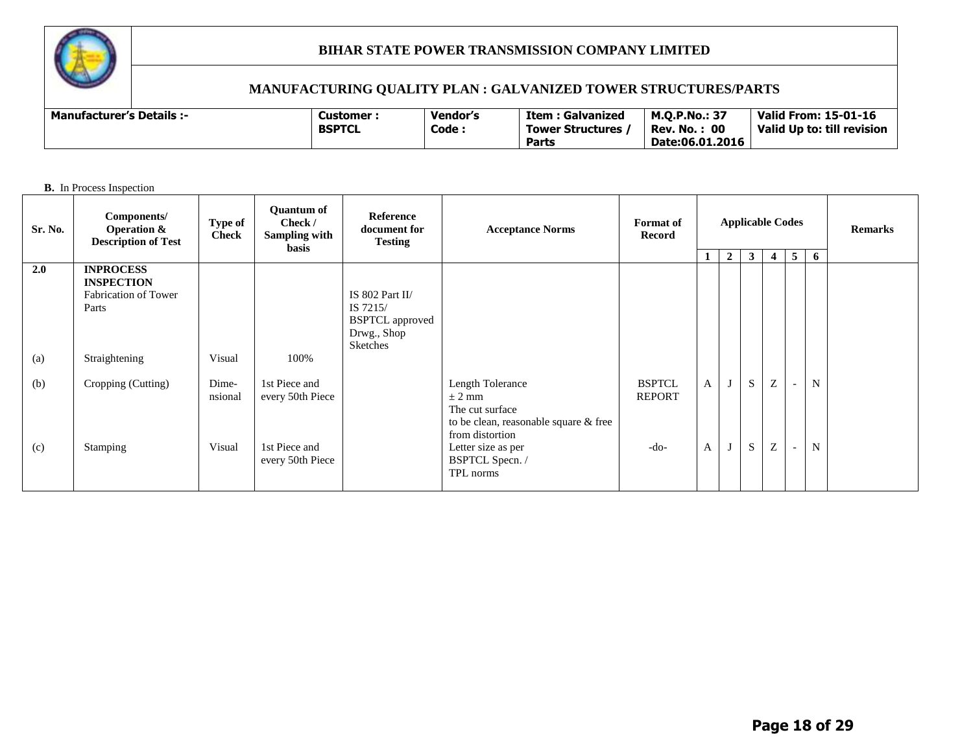

# **MANUFACTURING QUALITY PLAN : GALVANIZED TOWER STRUCTURES/PARTS**

**B.** In Process Inspection

| Sr. No. | Components/<br><b>Operation &amp;</b><br><b>Description of Test</b>    | Type of<br><b>Check</b> | <b>Quantum of</b><br>Check /<br>Sampling with<br><b>basis</b> | Reference<br>document for<br><b>Testing</b>                                      | <b>Acceptance Norms</b>                                                                                       | <b>Format</b> of<br>Record     | <b>Applicable Codes</b> |                |              |                                |                          |                  | <b>Remarks</b> |
|---------|------------------------------------------------------------------------|-------------------------|---------------------------------------------------------------|----------------------------------------------------------------------------------|---------------------------------------------------------------------------------------------------------------|--------------------------------|-------------------------|----------------|--------------|--------------------------------|--------------------------|------------------|----------------|
|         |                                                                        |                         |                                                               |                                                                                  |                                                                                                               |                                |                         | $\overline{2}$ | $\mathbf{3}$ | $\overline{4}$                 | $5\overline{)}$          | 6                |                |
| 2.0     | <b>INPROCESS</b><br><b>INSPECTION</b><br>Fabrication of Tower<br>Parts |                         |                                                               | IS 802 Part II/<br>IS 7215/<br><b>BSPTCL</b> approved<br>Drwg., Shop<br>Sketches |                                                                                                               |                                |                         |                |              |                                |                          |                  |                |
| (a)     | Straightening                                                          | Visual                  | 100%                                                          |                                                                                  |                                                                                                               |                                |                         |                |              |                                |                          |                  |                |
| (b)     | Cropping (Cutting)                                                     | Dime-<br>nsional        | 1st Piece and<br>every 50th Piece                             |                                                                                  | Length Tolerance<br>$\pm$ 2 mm<br>The cut surface<br>to be clean, reasonable square & free<br>from distortion | <b>BSPTCL</b><br><b>REPORT</b> | $\mathbf{A}$            |                | S<br>S       | Z<br>$\ensuremath{\mathbf{Z}}$ | $\overline{\phantom{a}}$ | N<br>$\mathbf N$ |                |
| (c)     | Stamping                                                               | Visual                  | 1st Piece and<br>every 50th Piece                             |                                                                                  | Letter size as per<br>BSPTCL Specn. /<br>TPL norms                                                            | -do-                           | A                       |                |              |                                | $\overline{\phantom{a}}$ |                  |                |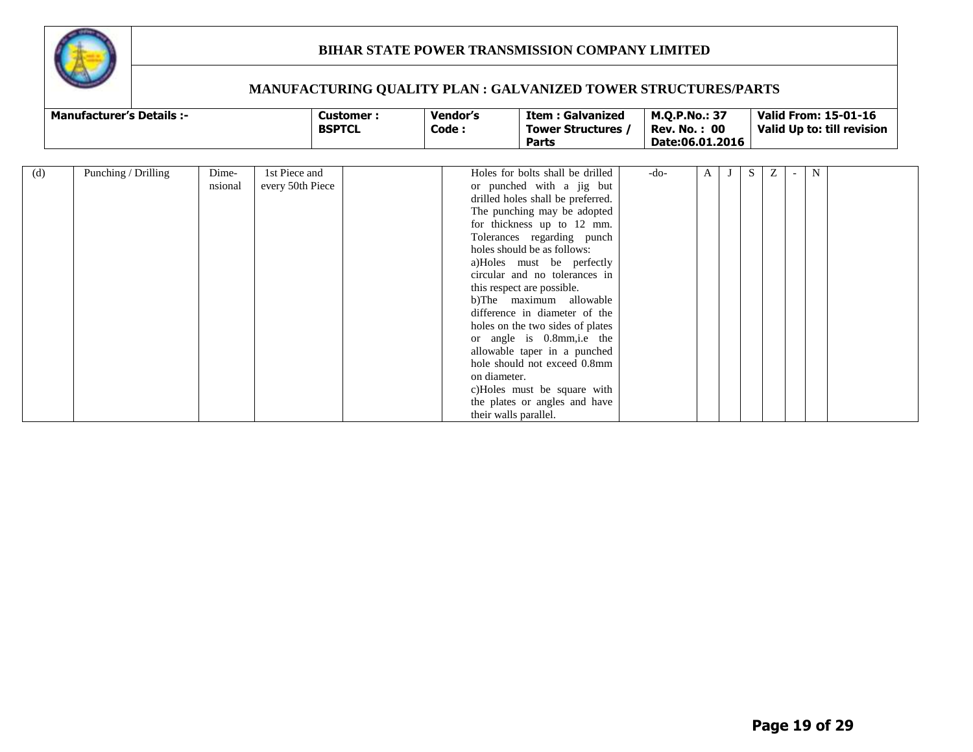

| <b>Manufacturer's Details :-</b> | Customer      | Vendor's | Item : Galvanized       | <b>M.O.P.No.: 37</b>   | Valid From: 15-01-16       |
|----------------------------------|---------------|----------|-------------------------|------------------------|----------------------------|
|                                  | <b>BSPTCL</b> | Code:    | <b>Tower Structures</b> | $\cdot$ 00<br>Rev. No. | Valid Up to: till revision |
|                                  |               |          | Parts                   | Date:06.01.2016        |                            |

| (d) | Punching / Drilling | Dime-   | 1st Piece and    | Holes for bolts shall be drilled  | -do- | A | S | Ζ | N |  |
|-----|---------------------|---------|------------------|-----------------------------------|------|---|---|---|---|--|
|     |                     | nsional | every 50th Piece | or punched with a jig but         |      |   |   |   |   |  |
|     |                     |         |                  | drilled holes shall be preferred. |      |   |   |   |   |  |
|     |                     |         |                  | The punching may be adopted       |      |   |   |   |   |  |
|     |                     |         |                  | for thickness up to 12 mm.        |      |   |   |   |   |  |
|     |                     |         |                  | Tolerances regarding punch        |      |   |   |   |   |  |
|     |                     |         |                  | holes should be as follows:       |      |   |   |   |   |  |
|     |                     |         |                  | a)Holes must be perfectly         |      |   |   |   |   |  |
|     |                     |         |                  | circular and no tolerances in     |      |   |   |   |   |  |
|     |                     |         |                  | this respect are possible.        |      |   |   |   |   |  |
|     |                     |         |                  | b)The maximum allowable           |      |   |   |   |   |  |
|     |                     |         |                  | difference in diameter of the     |      |   |   |   |   |  |
|     |                     |         |                  | holes on the two sides of plates  |      |   |   |   |   |  |
|     |                     |         |                  | or angle is 0.8mm, i.e the        |      |   |   |   |   |  |
|     |                     |         |                  | allowable taper in a punched      |      |   |   |   |   |  |
|     |                     |         |                  | hole should not exceed 0.8mm      |      |   |   |   |   |  |
|     |                     |         |                  | on diameter.                      |      |   |   |   |   |  |
|     |                     |         |                  | c)Holes must be square with       |      |   |   |   |   |  |
|     |                     |         |                  | the plates or angles and have     |      |   |   |   |   |  |
|     |                     |         |                  | their walls parallel.             |      |   |   |   |   |  |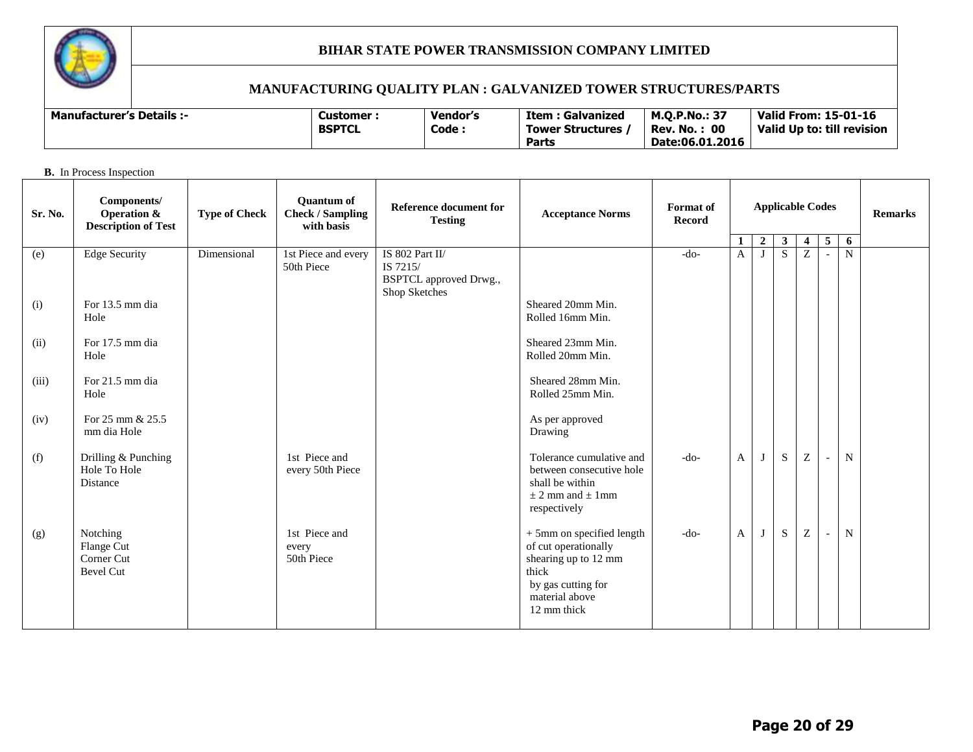

# **MANUFACTURING QUALITY PLAN : GALVANIZED TOWER STRUCTURES/PARTS**

| <b>Manufacturer's Details :-</b> | Customer <sup>.</sup> | Vendor's | : Galvanized<br>Item : | <b>M.O.P.No.: 37</b> | Valid From: 15-01-16       |
|----------------------------------|-----------------------|----------|------------------------|----------------------|----------------------------|
|                                  | <b>BSPTCL</b>         | Code:    | Tower Structures       | : 00<br>Rev. No.     | Valid Up to: till revision |
|                                  |                       |          | Parts                  | Date:06.01.2016      |                            |

#### **B.** In Process Inspection

| Sr. No. | Components/<br>Operation &<br><b>Description of Test</b> | <b>Type of Check</b> | <b>Quantum of</b><br><b>Check / Sampling</b><br>with basis | Reference document for<br><b>Testing</b>                                      | <b>Acceptance Norms</b>                                                                                                                   | <b>Format</b> of<br>Record | <b>Applicable Codes</b> |              |              |                |                          |                     |  |  |  |  |  |  |
|---------|----------------------------------------------------------|----------------------|------------------------------------------------------------|-------------------------------------------------------------------------------|-------------------------------------------------------------------------------------------------------------------------------------------|----------------------------|-------------------------|--------------|--------------|----------------|--------------------------|---------------------|--|--|--|--|--|--|
|         |                                                          |                      |                                                            |                                                                               |                                                                                                                                           |                            | $\mathbf{1}$            | $\mathbf{2}$ | $\mathbf{3}$ | $\overline{4}$ | 5                        | 6<br>$\overline{N}$ |  |  |  |  |  |  |
| (e)     | <b>Edge Security</b>                                     | Dimensional          | 1st Piece and every<br>50th Piece                          | IS 802 Part II/<br>IS 7215/<br><b>BSPTCL</b> approved Drwg.,<br>Shop Sketches |                                                                                                                                           | $-do-$                     | A                       |              | S            | Z              |                          |                     |  |  |  |  |  |  |
| (i)     | For 13.5 mm dia                                          |                      |                                                            |                                                                               | Sheared 20mm Min.                                                                                                                         |                            |                         |              |              |                |                          |                     |  |  |  |  |  |  |
|         | Hole                                                     |                      |                                                            |                                                                               | Rolled 16mm Min.                                                                                                                          |                            |                         |              |              |                |                          |                     |  |  |  |  |  |  |
| (ii)    | For 17.5 mm dia<br>Hole                                  |                      |                                                            |                                                                               | Sheared 23mm Min.<br>Rolled 20mm Min.                                                                                                     |                            |                         |              |              |                |                          |                     |  |  |  |  |  |  |
|         |                                                          |                      |                                                            |                                                                               |                                                                                                                                           |                            |                         |              |              |                |                          |                     |  |  |  |  |  |  |
| (iii)   | For 21.5 mm dia<br>Hole                                  |                      |                                                            |                                                                               | Sheared 28mm Min.<br>Rolled 25mm Min.                                                                                                     |                            |                         |              |              |                |                          |                     |  |  |  |  |  |  |
|         |                                                          |                      |                                                            |                                                                               |                                                                                                                                           |                            |                         |              |              |                |                          |                     |  |  |  |  |  |  |
| (iv)    | For 25 mm & 25.5<br>mm dia Hole                          |                      |                                                            |                                                                               | As per approved<br>Drawing                                                                                                                |                            |                         |              |              |                |                          |                     |  |  |  |  |  |  |
| (f)     | Drilling & Punching<br>Hole To Hole<br><b>Distance</b>   |                      | 1st Piece and<br>every 50th Piece                          |                                                                               | Tolerance cumulative and<br>between consecutive hole<br>shall be within<br>$\pm$ 2 mm and $\pm$ 1 mm<br>respectively                      | $-do-$                     | $\mathbf{A}$            | J            | S            | Z              | $\overline{\phantom{a}}$ | N                   |  |  |  |  |  |  |
| (g)     | Notching<br>Flange Cut<br>Corner Cut<br><b>Bevel Cut</b> |                      | 1st Piece and<br>every<br>50th Piece                       |                                                                               | + 5mm on specified length<br>of cut operationally<br>shearing up to 12 mm<br>thick<br>by gas cutting for<br>material above<br>12 mm thick | $-do-$                     | A                       | J            | S            | Z              |                          | $\mathbf N$         |  |  |  |  |  |  |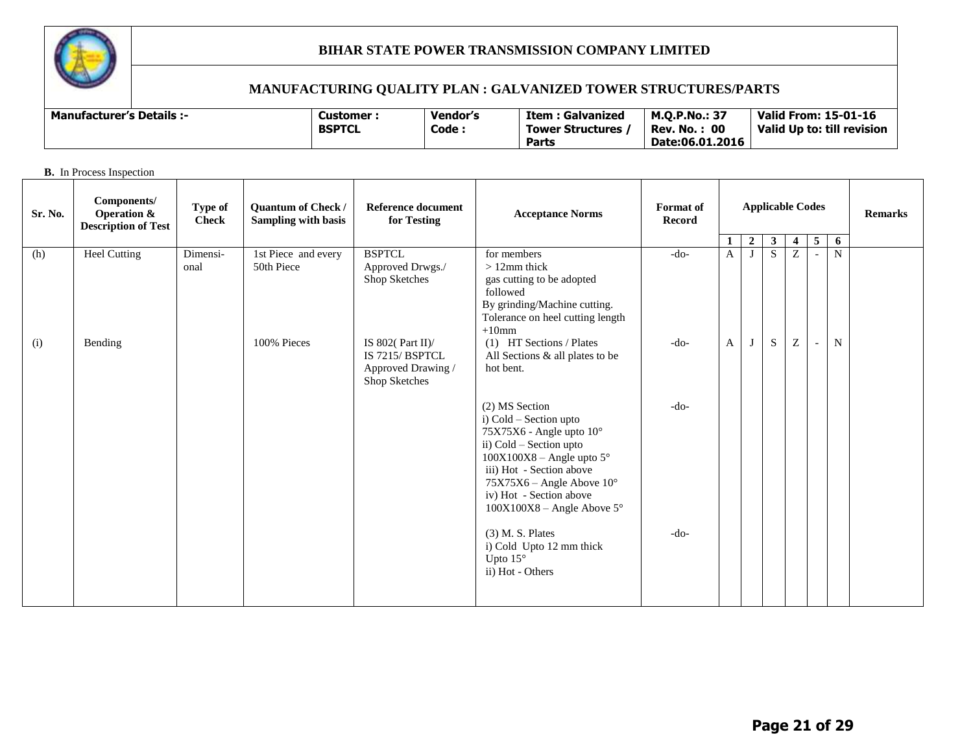

| <b>Manufacturer's Details :-</b> | Customer      | Vendor's | <b>Item: Galvanized</b> | <b>M.Q.P.No.: 37</b> | Valid From: 15-01-16       |
|----------------------------------|---------------|----------|-------------------------|----------------------|----------------------------|
|                                  | <b>BSPTCL</b> | Code .   | <b>Tower Structures</b> | : 00<br>Rev. No. .   | Valid Up to: till revision |
|                                  |               |          | Parts                   | Date:06.01.2016      |                            |

|         | <b>B.</b> In Process Inspection                                     |                         |                                                  |                                                                               |                                                                                                                                                                                                                                                                                                                                         |                            |                                                                                                |              |    |   |                          |             |  |  |
|---------|---------------------------------------------------------------------|-------------------------|--------------------------------------------------|-------------------------------------------------------------------------------|-----------------------------------------------------------------------------------------------------------------------------------------------------------------------------------------------------------------------------------------------------------------------------------------------------------------------------------------|----------------------------|------------------------------------------------------------------------------------------------|--------------|----|---|--------------------------|-------------|--|--|
| Sr. No. | Components/<br><b>Operation &amp;</b><br><b>Description of Test</b> | Type of<br><b>Check</b> | Quantum of Check /<br><b>Sampling with basis</b> | <b>Reference document</b><br>for Testing                                      | <b>Acceptance Norms</b>                                                                                                                                                                                                                                                                                                                 | Format of<br><b>Record</b> | <b>Applicable Codes</b><br>5<br>$\overline{2}$<br>$\mathbf{3}$<br>$\overline{\mathbf{4}}$<br>1 |              |    |   | 6                        |             |  |  |
| (h)     | <b>Heel Cutting</b>                                                 | Dimensi-                | 1st Piece and every                              | <b>BSPTCL</b>                                                                 | for members                                                                                                                                                                                                                                                                                                                             | $-do-$                     | $\mathbf{A}$                                                                                   | $\mathbf{I}$ | S. | Z |                          | N           |  |  |
|         |                                                                     | onal                    | 50th Piece                                       | Approved Drwgs./<br>Shop Sketches                                             | $>12$ mm thick<br>gas cutting to be adopted<br>followed<br>By grinding/Machine cutting.<br>Tolerance on heel cutting length<br>$+10$ mm                                                                                                                                                                                                 |                            |                                                                                                |              |    |   |                          |             |  |  |
| (i)     | Bending                                                             |                         | 100% Pieces                                      | IS 802( $Part II$ )<br>IS 7215/ BSPTCL<br>Approved Drawing /<br>Shop Sketches | (1) HT Sections / Plates<br>All Sections & all plates to be<br>hot bent.                                                                                                                                                                                                                                                                | $-do-$                     | A                                                                                              | $\bf{J}$     | S  | Z | $\overline{\phantom{a}}$ | $\mathbf N$ |  |  |
|         |                                                                     |                         |                                                  |                                                                               | (2) MS Section<br>i) Cold – Section upto<br>75X75X6 - Angle upto 10°<br>ii) Cold - Section upto<br>$100X100X8$ – Angle upto 5°<br>iii) Hot - Section above<br>$75X75X6$ – Angle Above $10^{\circ}$<br>iv) Hot - Section above<br>$100X100X8 - Angle Above 5^\circ$<br>$(3)$ M. S. Plates<br>i) Cold Upto 12 mm thick<br>Upto $15^\circ$ | $-do-$<br>$-do-$           |                                                                                                |              |    |   |                          |             |  |  |
|         |                                                                     |                         |                                                  |                                                                               | ii) Hot - Others                                                                                                                                                                                                                                                                                                                        |                            |                                                                                                |              |    |   |                          |             |  |  |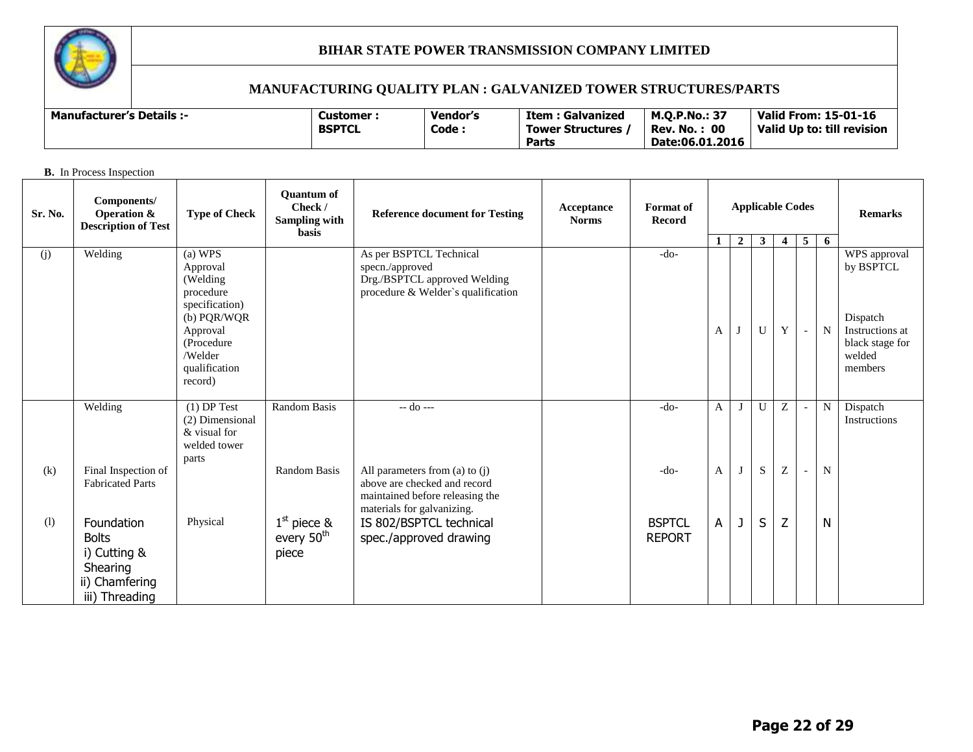

# **MANUFACTURING QUALITY PLAN : GALVANIZED TOWER STRUCTURES/PARTS**

| <b>Manufacturer's Details :-</b> | Customer      | Vendor's | Item : Galvanized       | <b>M.O.P.No.: 37</b>          | Valid From: 15-01-16       |
|----------------------------------|---------------|----------|-------------------------|-------------------------------|----------------------------|
|                                  | <b>BSPTCL</b> | Code :   | <b>Tower Structures</b> | : 00<br>$\cdot$ . No.<br>Rev. | Valid Up to: till revision |
|                                  |               |          | Parts                   | Date:06.01.2016               |                            |

#### **B.** In Process Inspection

| Sr. No. | Components/<br>Operation &<br><b>Description of Test</b>                                   | <b>Type of Check</b>                                                          | <b>Ouantum of</b><br>Check /<br><b>Sampling with</b><br>basis | <b>Reference document for Testing</b>                                                                                             | Acceptance<br><b>Norms</b> | <b>Format</b> of<br><b>Record</b> | <b>Applicable Codes</b> |                | <b>Remarks</b> |                |                          |             |                                                                     |
|---------|--------------------------------------------------------------------------------------------|-------------------------------------------------------------------------------|---------------------------------------------------------------|-----------------------------------------------------------------------------------------------------------------------------------|----------------------------|-----------------------------------|-------------------------|----------------|----------------|----------------|--------------------------|-------------|---------------------------------------------------------------------|
|         |                                                                                            |                                                                               |                                                               |                                                                                                                                   |                            |                                   | 1                       | $\overline{2}$ | $\mathbf{3}$   | $\overline{4}$ | $\overline{5}$           | 6           |                                                                     |
| (i)     | Welding                                                                                    | (a) WPS<br>Approval<br>(Welding<br>procedure<br>specification)                |                                                               | As per BSPTCL Technical<br>specn./approved<br>Drg./BSPTCL approved Welding<br>procedure & Welder's qualification                  |                            | $-do-$                            |                         |                |                |                |                          |             | WPS approval<br>by BSPTCL                                           |
|         |                                                                                            | (b) PQR/WQR<br>Approval<br>(Procedure)<br>/Welder<br>qualification<br>record) |                                                               |                                                                                                                                   |                            |                                   | A                       | J              | U              | Y              | $\overline{\phantom{a}}$ | $\mathbf N$ | Dispatch<br>Instructions at<br>black stage for<br>welded<br>members |
|         | Welding                                                                                    | $(1)$ DP Test<br>(2) Dimensional<br>& visual for<br>welded tower<br>parts     | <b>Random Basis</b>                                           | $-$ do $-$                                                                                                                        |                            | $-do-$                            | A                       | $\mathbf{J}$   | U              | Z              | $\overline{\phantom{a}}$ | N           | Dispatch<br>Instructions                                            |
| (k)     | Final Inspection of<br><b>Fabricated Parts</b>                                             |                                                                               | Random Basis                                                  | All parameters from (a) to $(i)$<br>above are checked and record<br>maintained before releasing the<br>materials for galvanizing. |                            | $-do-$                            | A                       |                | S              | Z              | $\overline{\phantom{a}}$ | $\mathbf N$ |                                                                     |
| (1)     | Foundation<br><b>Bolts</b><br>i) Cutting &<br>Shearing<br>ii) Chamfering<br>iii) Threading | Physical                                                                      | $1st$ piece &<br>every 50 <sup>th</sup><br>piece              | IS 802/BSPTCL technical<br>spec./approved drawing                                                                                 |                            | <b>BSPTCL</b><br><b>REPORT</b>    | A                       | J              | S              | Z              |                          | N           |                                                                     |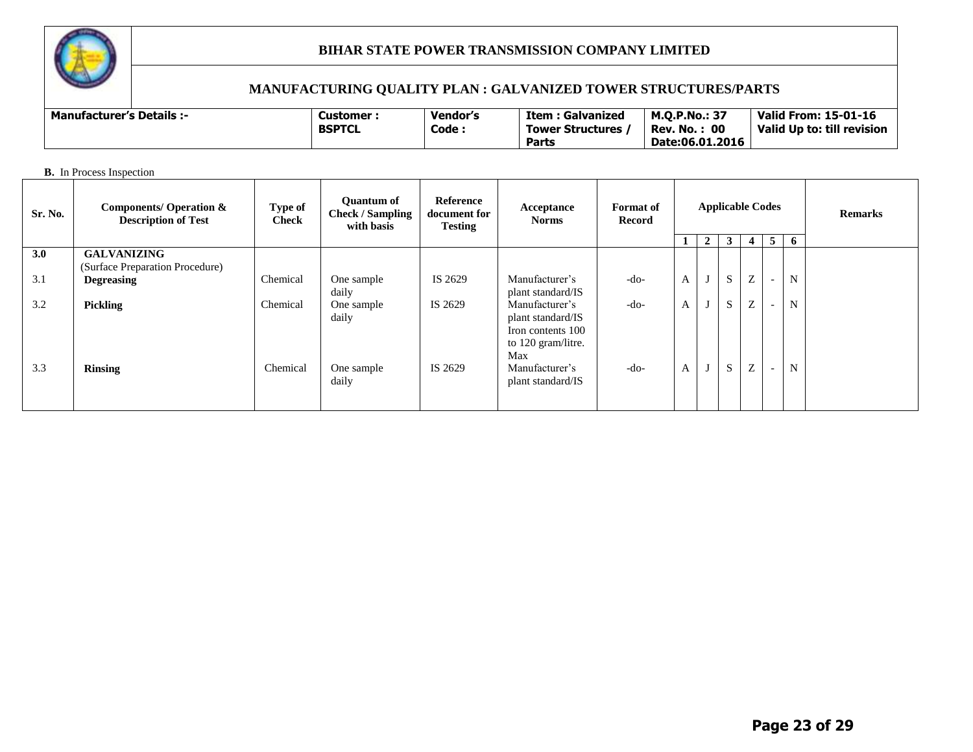

# **MANUFACTURING QUALITY PLAN : GALVANIZED TOWER STRUCTURES/PARTS**

| <b>Manufacturer's Details:-</b> | Customer      | <b>Vendor's</b> | <b>Item: Galvanized</b> | <b>M.O.P.No.: 37</b> | Valid From: 15-01-16       |
|---------------------------------|---------------|-----------------|-------------------------|----------------------|----------------------------|
|                                 | <b>BSPTCL</b> | Code:           | Tower Structures        | : 00<br>Rev. No.     | Valid Up to: till revision |
|                                 |               |                 | Parts                   | Date:06.01.2016      |                            |

**B.** In Process Inspection

| Sr. No. | <b>Components/ Operation &amp;</b><br><b>Description of Test</b> | Type of<br><b>Check</b> | <b>Quantum of</b><br><b>Check / Sampling</b><br>with basis | Reference<br>document for<br><b>Testing</b> | Acceptance<br><b>Norms</b>                                                            | <b>Format</b> of<br>Record | <b>Applicable Codes</b> |   |    |   |                | <b>Remarks</b> |  |
|---------|------------------------------------------------------------------|-------------------------|------------------------------------------------------------|---------------------------------------------|---------------------------------------------------------------------------------------|----------------------------|-------------------------|---|----|---|----------------|----------------|--|
|         |                                                                  |                         |                                                            |                                             |                                                                                       |                            |                         | 2 | 3  | 4 | 5 <sup>5</sup> | -6             |  |
| 3.0     | <b>GALVANIZING</b><br>(Surface Preparation Procedure)            |                         |                                                            |                                             |                                                                                       |                            |                         |   |    |   |                |                |  |
| 3.1     | <b>Degreasing</b>                                                | Chemical                | One sample<br>daily                                        | IS 2629                                     | Manufacturer's<br>plant standard/IS                                                   | $-do-$                     | $\mathbf{A}$            | J | S. | Z |                | N              |  |
| 3.2     | <b>Pickling</b>                                                  | Chemical                | One sample<br>daily                                        | IS 2629                                     | Manufacturer's<br>plant standard/IS<br>Iron contents 100<br>to 120 gram/litre.<br>Max | $-do-$                     | $\mathbf{A}$            | J | S. | Z |                | N              |  |
| 3.3     | <b>Rinsing</b>                                                   | Chemical                | One sample<br>daily                                        | IS 2629                                     | Manufacturer's<br>plant standard/IS                                                   | $-do-$                     | $\mathbf{A}$            | J | S. | Z |                | N              |  |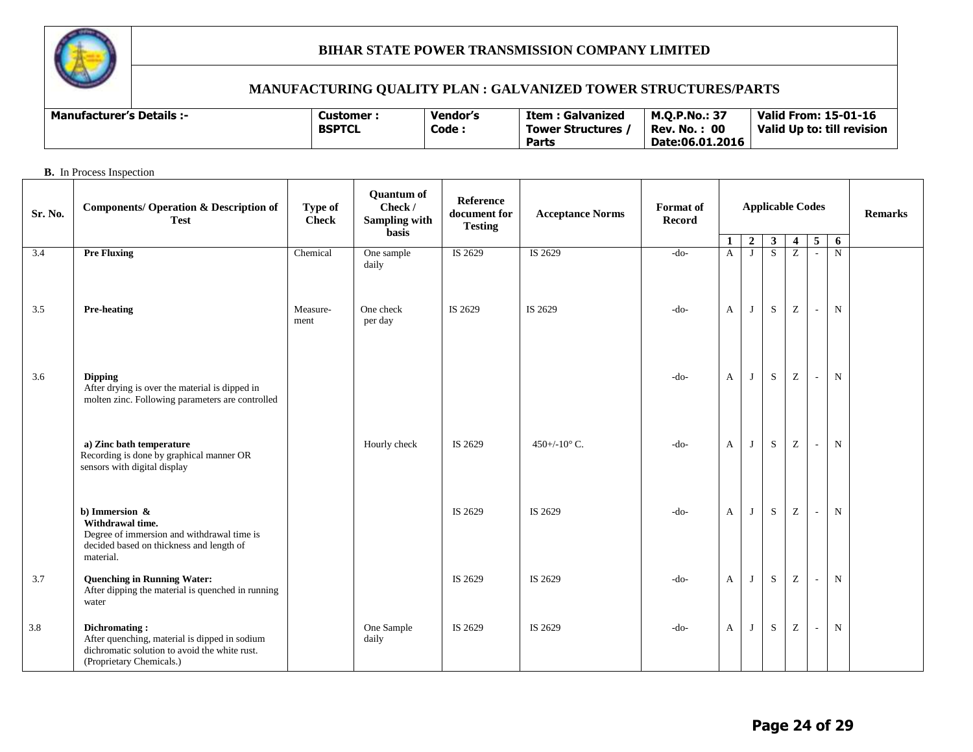

**B.** In Process Inspection

# **BIHAR STATE POWER TRANSMISSION COMPANY LIMITED**

| <b>Manufacturer's Details :-</b> | C <b>ustomer</b> · | <b>Vendor's</b> | Item : Galvanized | <b>M.O.P.No.: 37</b> | Valid From: 15-01-16       |
|----------------------------------|--------------------|-----------------|-------------------|----------------------|----------------------------|
|                                  | <b>BSPTCL</b>      | Code:           | Tower Structures  | : 00<br>Rev. No.     | Valid Up to: till revision |
|                                  |                    |                 | Parts             | Date:06.01.2016      |                            |

| Sr. No. | <b>Components/ Operation &amp; Description of</b><br><b>Test</b>                                                                             | Type of<br><b>Check</b> | <b>Quantum of</b><br>Check /<br><b>Sampling with</b><br><b>basis</b> | Reference<br>document for<br><b>Testing</b> | <b>Acceptance Norms</b> |        | <b>Applicable Codes</b> |                |              |                                                       |                          |             | <b>Remarks</b> |
|---------|----------------------------------------------------------------------------------------------------------------------------------------------|-------------------------|----------------------------------------------------------------------|---------------------------------------------|-------------------------|--------|-------------------------|----------------|--------------|-------------------------------------------------------|--------------------------|-------------|----------------|
|         |                                                                                                                                              |                         |                                                                      |                                             |                         |        | 1                       | $\overline{2}$ | $\mathbf{3}$ | $\overline{\mathbf{4}}$                               | $5\phantom{.0}$          | 6           |                |
| 3.4     | <b>Pre Fluxing</b>                                                                                                                           | Chemical                | One sample<br>daily                                                  | IS 2629                                     | IS 2629                 | $-do-$ | $\mathbf{A}$            | J              | S            | Z                                                     | $\sim$                   | $\mathbf N$ |                |
| 3.5     | <b>Pre-heating</b>                                                                                                                           | Measure-<br>ment        | One check<br>per day                                                 | IS 2629                                     | IS 2629                 | $-do-$ | A                       | J              | S            | Z                                                     | $\sim$                   | ${\bf N}$   |                |
| 3.6     | <b>Dipping</b><br>After drying is over the material is dipped in<br>molten zinc. Following parameters are controlled                         |                         |                                                                      |                                             |                         | $-do-$ | $\mathbf{A}$            | J              | S            | $\rm{Z}$                                              | $\overline{\phantom{a}}$ | ${\bf N}$   |                |
|         | a) Zinc bath temperature<br>Recording is done by graphical manner OR<br>sensors with digital display                                         |                         | Hourly check                                                         | IS 2629                                     | 450+/-10 $^{\circ}$ C.  | $-do-$ | $\mathbf{A}$            | J              | ${\bf S}$    | Z                                                     | $\overline{\phantom{a}}$ | ${\bf N}$   |                |
|         | b) Immersion $\&$<br>Withdrawal time.<br>Degree of immersion and withdrawal time is<br>decided based on thickness and length of<br>material. |                         |                                                                      | IS 2629                                     | IS 2629                 | $-do-$ | $\mathbf{A}$            | J              | ${\bf S}$    | $\mathbf{Z}% ^{T}=\mathbf{Z}^{T}\times\mathbf{Z}^{T}$ | $\sim$                   | ${\bf N}$   |                |
| 3.7     | <b>Quenching in Running Water:</b><br>After dipping the material is quenched in running<br>water                                             |                         |                                                                      | IS 2629                                     | IS 2629                 | $-do-$ | $\mathbf{A}$            | J              | S            | Z                                                     | $\sim$                   | $\mathbf N$ |                |
| 3.8     | Dichromating:<br>After quenching, material is dipped in sodium<br>dichromatic solution to avoid the white rust.<br>(Proprietary Chemicals.)  |                         | One Sample<br>daily                                                  | IS 2629                                     | IS 2629                 | $-do-$ | $\mathbf{A}$            | J              | S            | Z                                                     | $\sim$                   | $\mathbf N$ |                |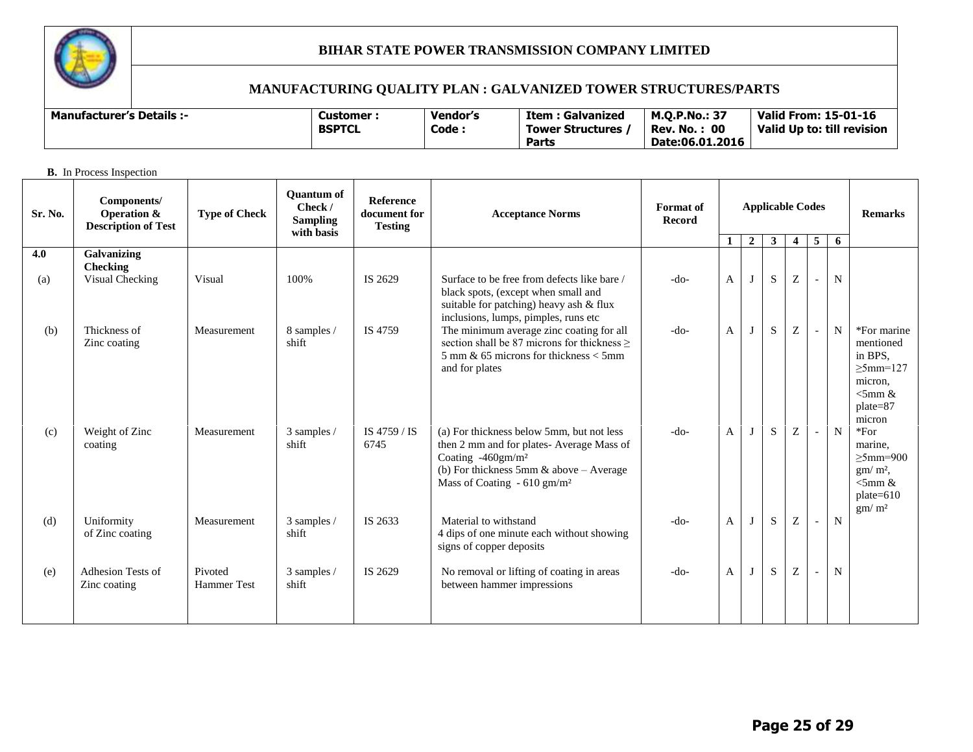

# **MANUFACTURING QUALITY PLAN : GALVANIZED TOWER STRUCTURES/PARTS**

| <b>Manufacturer's Details :-</b> | Customer :    | Vendor's                        | <b>Item: Galvanized</b> | <b>M.O.P.No.: 37</b> | <b>Valid From: 15-01-16</b> |
|----------------------------------|---------------|---------------------------------|-------------------------|----------------------|-----------------------------|
|                                  | <b>BSPTCL</b> | Code<br><b>Tower Structures</b> |                         | : 00<br>Rev. No.     | Valid Up to: till revision  |
|                                  |               |                                 | Parts                   | Date:06.01.2016      |                             |
|                                  |               |                                 |                         |                      |                             |

**B.** In Process Inspection

| Sr. No.    | Components/<br><b>Operation &amp;</b><br><b>Description of Test</b> | <b>Type of Check</b>          | <b>Ouantum of</b><br>Check /<br><b>Sampling</b><br>with basis | <b>Reference</b><br>document for<br><b>Testing</b> | <b>Acceptance Norms</b>                                                                                                                                                                                           | <b>Format</b> of<br>Record |   | <b>Applicable Codes</b> | <b>Remarks</b> |   |                          |             |                                                                                                         |
|------------|---------------------------------------------------------------------|-------------------------------|---------------------------------------------------------------|----------------------------------------------------|-------------------------------------------------------------------------------------------------------------------------------------------------------------------------------------------------------------------|----------------------------|---|-------------------------|----------------|---|--------------------------|-------------|---------------------------------------------------------------------------------------------------------|
|            |                                                                     |                               |                                                               |                                                    |                                                                                                                                                                                                                   |                            | 1 | $\overline{2}$          | $\mathbf{3}$   | 4 | 5                        | 6           |                                                                                                         |
| 4.0<br>(a) | Galvanizing<br>Checking<br>Visual Checking                          | Visual                        | 100%                                                          | IS 2629                                            | Surface to be free from defects like bare /                                                                                                                                                                       | $-do-$                     | A | $\bf{I}$                | S              | Z | $\blacksquare$           | $\mathbf N$ |                                                                                                         |
|            |                                                                     |                               |                                                               |                                                    | black spots, (except when small and<br>suitable for patching) heavy ash & flux<br>inclusions, lumps, pimples, runs etc                                                                                            |                            |   |                         |                |   |                          |             |                                                                                                         |
| (b)        | Thickness of<br>Zinc coating                                        | Measurement                   | 8 samples /<br>shift                                          | IS 4759                                            | The minimum average zinc coating for all<br>section shall be 87 microns for thickness $\geq$<br>5 mm & 65 microns for thickness $<$ 5 mm<br>and for plates                                                        | $-do-$                     | A |                         | S              | Z | $\sim$                   | N           | *For marine<br>mentioned<br>in BPS,<br>$>5$ mm=127<br>micron,<br>$\leq$ 5mm &<br>$plate = 87$<br>micron |
| (c)        | Weight of Zinc<br>coating                                           | Measurement                   | 3 samples /<br>shift                                          | IS 4759 / IS<br>6745                               | (a) For thickness below 5mm, but not less<br>then 2 mm and for plates- Average Mass of<br>Coating -460gm/m <sup>2</sup><br>(b) For thickness 5mm $\&$ above - Average<br>Mass of Coating $-610$ gm/m <sup>2</sup> | $-do-$                     | A |                         | $\mathbf S$    | Z | $\overline{\phantom{a}}$ | ${\bf N}$   | $*For$<br>marine.<br>$\geq$ 5mm=900<br>$gm/m2$ ,<br>$\leq$ 5mm &<br>plate=610<br>gm/m <sup>2</sup>      |
| (d)        | Uniformity<br>of Zinc coating                                       | Measurement                   | 3 samples /<br>shift                                          | IS 2633                                            | Material to withstand<br>4 dips of one minute each without showing<br>signs of copper deposits                                                                                                                    | $-do-$                     | A |                         | S              | Z | $\sim$                   | ${\bf N}$   |                                                                                                         |
| (e)        | Adhesion Tests of<br>Zinc coating                                   | Pivoted<br><b>Hammer Test</b> | 3 samples /<br>shift                                          | IS 2629                                            | No removal or lifting of coating in areas<br>between hammer impressions                                                                                                                                           | $-do-$                     | A |                         | $\mathbf S$    | Z | $\overline{\phantom{a}}$ | $\mathbf N$ |                                                                                                         |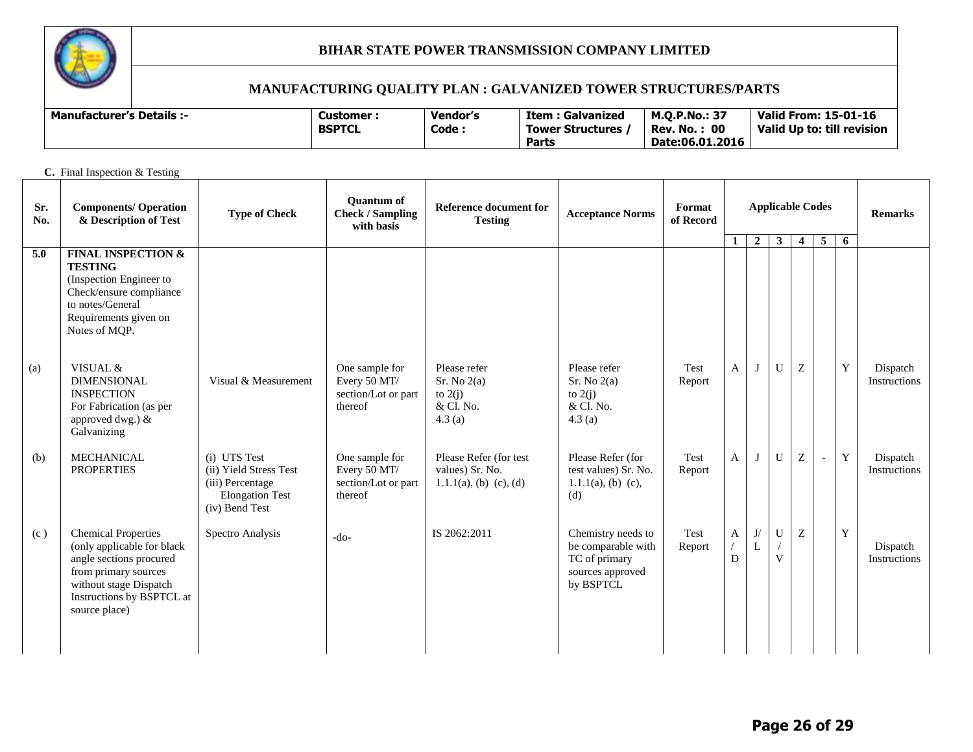

| <b>Manufacturer's Details :-</b> | Customer      | Vendor's | Item : Galvanized       | <b>M.O.P.No.: 37</b> | Valid From: 15-01-16       |
|----------------------------------|---------------|----------|-------------------------|----------------------|----------------------------|
|                                  | <b>BSPTCL</b> | Code:    | <b>Tower Structures</b> | : 00<br>Rev. No.     | Valid Up to: till revision |
|                                  |               |          | Parts                   | Date:06.01.2016      |                            |

| C. Final Inspection & Testing |                                                                                                                                                                                     |                                                                                                        |                                                                  |                                                                        |                                                                                                                                             |                |              |                                |                  |                                                       |              |                |                          |
|-------------------------------|-------------------------------------------------------------------------------------------------------------------------------------------------------------------------------------|--------------------------------------------------------------------------------------------------------|------------------------------------------------------------------|------------------------------------------------------------------------|---------------------------------------------------------------------------------------------------------------------------------------------|----------------|--------------|--------------------------------|------------------|-------------------------------------------------------|--------------|----------------|--------------------------|
| Sr.<br>No.                    | <b>Components/ Operation</b><br>& Description of Test                                                                                                                               | <b>Type of Check</b>                                                                                   | <b>Ouantum of</b><br><b>Check / Sampling</b><br>with basis       | Reference document for<br><b>Testing</b>                               | <b>Applicable Codes</b><br>Format<br><b>Acceptance Norms</b><br>of Record<br>$5^{\circ}$<br>$\overline{2}$<br>$\overline{4}$<br>$\mathbf 1$ |                |              |                                |                  |                                                       |              | <b>Remarks</b> |                          |
| 5.0                           | <b>FINAL INSPECTION &amp;</b><br><b>TESTING</b><br>(Inspection Engineer to<br>Check/ensure compliance<br>to notes/General<br>Requirements given on<br>Notes of MQP.                 |                                                                                                        |                                                                  |                                                                        |                                                                                                                                             |                |              |                                | $3^{\circ}$      |                                                       |              | 6              |                          |
| (a)                           | VISUAL &<br><b>DIMENSIONAL</b><br><b>INSPECTION</b><br>For Fabrication (as per<br>approved dwg.) &<br>Galvanizing                                                                   | Visual & Measurement                                                                                   | One sample for<br>Every 50 MT/<br>section/Lot or part<br>thereof | Please refer<br>Sr. No 2(a)<br>to $2(i)$<br>& Cl. No.<br>4.3(a)        | Please refer<br>Sr. No 2(a)<br>to $2(j)$<br>& Cl. No.<br>4.3(a)                                                                             | Test<br>Report | A            | J                              | $\mathbf U$      | Z                                                     |              | $\mathbf Y$    | Dispatch<br>Instructions |
| (b)                           | <b>MECHANICAL</b><br><b>PROPERTIES</b>                                                                                                                                              | (i) UTS Test<br>(ii) Yield Stress Test<br>(iii) Percentage<br><b>Elongation Test</b><br>(iv) Bend Test | One sample for<br>Every 50 MT/<br>section/Lot or part<br>thereof | Please Refer (for test<br>values) Sr. No.<br>$1.1.1(a)$ , (b) (c), (d) | Please Refer (for<br>test values) Sr. No.<br>$1.1.1(a)$ , (b) (c),<br>(d)                                                                   | Test<br>Report | $\mathbf{A}$ |                                | U                | Z                                                     | $\mathbb{L}$ | Y              | Dispatch<br>Instructions |
| (c)                           | <b>Chemical Properties</b><br>(only applicable for black<br>angle sections procured<br>from primary sources<br>without stage Dispatch<br>Instructions by BSPTCL at<br>source place) | Spectro Analysis                                                                                       | $-do-$                                                           | IS 2062:2011                                                           | Chemistry needs to<br>be comparable with<br>TC of primary<br>sources approved<br>by BSPTCL                                                  | Test<br>Report | A<br>D       | $\mathbf{J}/% \mathbf{J}$<br>L | $\mathbf U$<br>V | $\mathbf{Z}% ^{T}=\mathbf{Z}^{T}\times\mathbf{Z}^{T}$ |              | Y              | Dispatch<br>Instructions |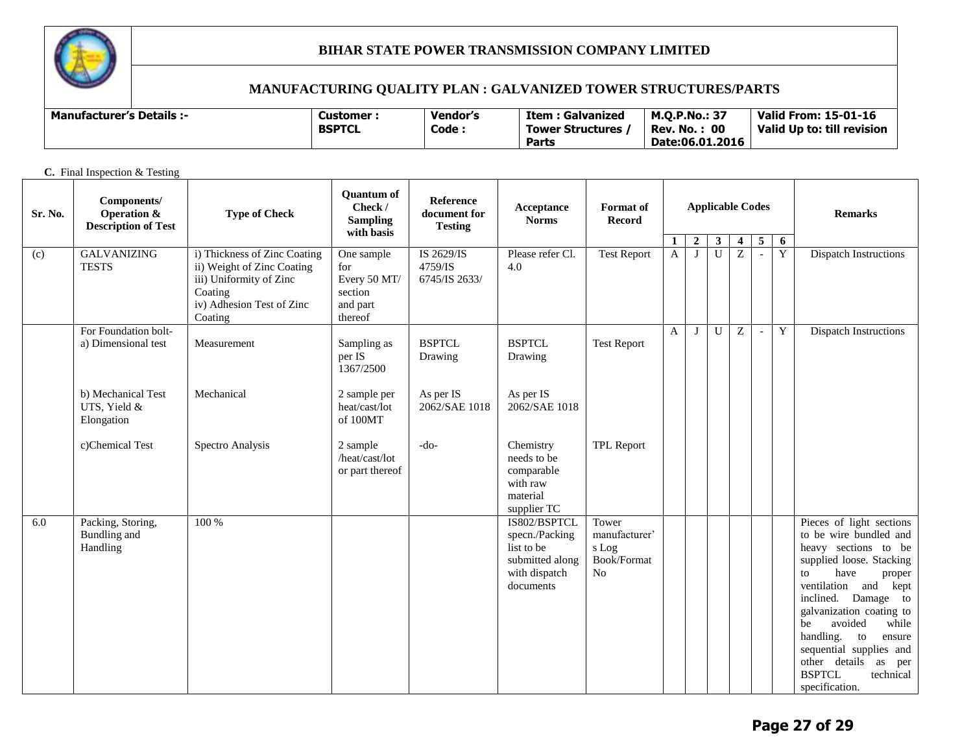

# **MANUFACTURING QUALITY PLAN : GALVANIZED TOWER STRUCTURES/PARTS**

| <b>Manufacturer's Details :-</b> | Customer<br><b>BSPTCL</b> | Vendor's<br>Code | Item : Galvanized<br>Tower Structures | M.O.P.No.: 37<br>: 00<br>Rev. No. | <b>Valid From: 15-01-16</b><br>Valid Up to: till revision |
|----------------------------------|---------------------------|------------------|---------------------------------------|-----------------------------------|-----------------------------------------------------------|
|                                  |                           |                  | Parts                                 | Date:06.01.2016                   |                                                           |

**C.** Final Inspection & Testing

| Sr. No. | Components/<br><b>Operation &amp;</b><br><b>Description of Test</b> | <b>Type of Check</b>                                                                                                                     | <b>Quantum of</b><br>Check /<br><b>Sampling</b><br>with basis       | Reference<br>document for<br><b>Testing</b> | Acceptance<br><b>Norms</b>                                                                    | <b>Format</b> of<br><b>Record</b>                    | <b>Applicable Codes</b> |                  |                |                         |                 |   |                                                                                                                                                                                                                                                                                                                                                                                        |  |
|---------|---------------------------------------------------------------------|------------------------------------------------------------------------------------------------------------------------------------------|---------------------------------------------------------------------|---------------------------------------------|-----------------------------------------------------------------------------------------------|------------------------------------------------------|-------------------------|------------------|----------------|-------------------------|-----------------|---|----------------------------------------------------------------------------------------------------------------------------------------------------------------------------------------------------------------------------------------------------------------------------------------------------------------------------------------------------------------------------------------|--|
|         |                                                                     |                                                                                                                                          |                                                                     |                                             |                                                                                               |                                                      | 1                       | $\boldsymbol{2}$ | 3 <sup>7</sup> | $\overline{\mathbf{4}}$ | $5\phantom{.0}$ | 6 |                                                                                                                                                                                                                                                                                                                                                                                        |  |
| (c)     | <b>GALVANIZING</b><br><b>TESTS</b>                                  | i) Thickness of Zinc Coating<br>ii) Weight of Zinc Coating<br>iii) Uniformity of Zinc<br>Coating<br>iv) Adhesion Test of Zinc<br>Coating | One sample<br>for<br>Every 50 MT/<br>section<br>and part<br>thereof | IS 2629/IS<br>4759/IS<br>6745/IS 2633/      | Please refer Cl.<br>4.0                                                                       | <b>Test Report</b>                                   | $\overline{A}$          | $\mathbf{I}$     | $\overline{U}$ | Z                       | $\sim$          | Y | <b>Dispatch Instructions</b>                                                                                                                                                                                                                                                                                                                                                           |  |
|         | For Foundation bolt-<br>a) Dimensional test                         | Measurement                                                                                                                              | Sampling as<br>per IS<br>1367/2500                                  | <b>BSPTCL</b><br>Drawing                    | <b>BSPTCL</b><br>Drawing                                                                      | <b>Test Report</b>                                   | $\mathbf{A}$            | $\mathbf{J}$     | $\mathbf U$    | Z                       |                 | Y | <b>Dispatch Instructions</b>                                                                                                                                                                                                                                                                                                                                                           |  |
|         | b) Mechanical Test<br>UTS, Yield &<br>Elongation                    | Mechanical                                                                                                                               | 2 sample per<br>heat/cast/lot<br>of 100MT                           | As per IS<br>2062/SAE 1018                  | As per IS<br>2062/SAE 1018                                                                    |                                                      |                         |                  |                |                         |                 |   |                                                                                                                                                                                                                                                                                                                                                                                        |  |
|         | c)Chemical Test                                                     | Spectro Analysis                                                                                                                         | 2 sample<br>/heat/cast/lot<br>or part thereof                       | -do-                                        | Chemistry<br>needs to be<br>comparable<br>with raw<br>material<br>supplier TC                 | <b>TPL Report</b>                                    |                         |                  |                |                         |                 |   |                                                                                                                                                                                                                                                                                                                                                                                        |  |
| 6.0     | Packing, Storing,<br>Bundling and<br>Handling                       | 100 %                                                                                                                                    |                                                                     |                                             | IS802/BSPTCL<br>specn./Packing<br>list to be<br>submitted along<br>with dispatch<br>documents | Tower<br>manufacturer'<br>s Log<br>Book/Format<br>No |                         |                  |                |                         |                 |   | Pieces of light sections<br>to be wire bundled and<br>heavy sections to be<br>supplied loose. Stacking<br>have<br>$\mathbf{t}$<br>proper<br>ventilation and<br>kept<br>inclined.<br>Damage to<br>galvanization coating to<br>avoided<br>while<br>be<br>handling. to<br>ensure<br>sequential supplies and<br>other details<br>as<br>per<br><b>BSPTCL</b><br>technical<br>specification. |  |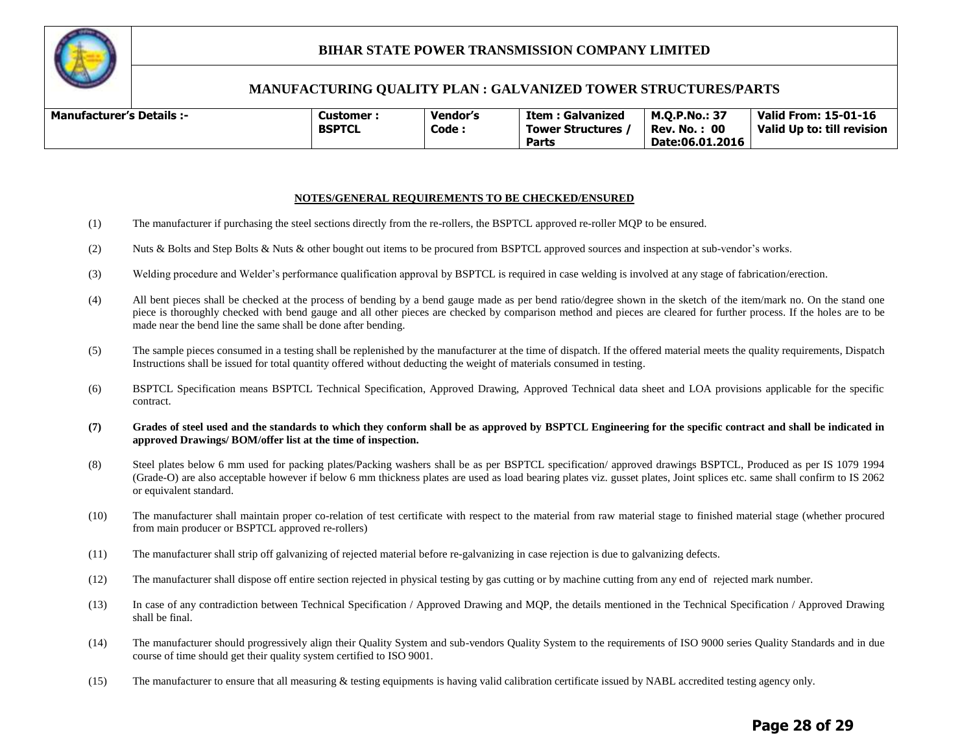

#### **MANUFACTURING QUALITY PLAN : GALVANIZED TOWER STRUCTURES/PARTS**

| <b>Manufacturer's Details :-</b> | Customer<br><b>BSPTCL</b> | <b>Vendor's</b><br>Code : | Item : Galvanized<br><b>Tower Structures</b> | <b>M.O.P.No.: 37</b><br>: 00<br>Rev. No. | <b>Valid From: 15-01-16</b><br>Valid Up to: till revision |
|----------------------------------|---------------------------|---------------------------|----------------------------------------------|------------------------------------------|-----------------------------------------------------------|
|                                  |                           |                           | Parts<br>Date:06.01.2016                     |                                          |                                                           |

#### **NOTES/GENERAL REQUIREMENTS TO BE CHECKED/ENSURED**

- (1) The manufacturer if purchasing the steel sections directly from the re-rollers, the BSPTCL approved re-roller MQP to be ensured.
- (2) Nuts & Bolts and Step Bolts & Nuts & other bought out items to be procured from BSPTCL approved sources and inspection at sub-vendor's works.
- (3) Welding procedure and Welder's performance qualification approval by BSPTCL is required in case welding is involved at any stage of fabrication/erection.
- (4) All bent pieces shall be checked at the process of bending by a bend gauge made as per bend ratio/degree shown in the sketch of the item/mark no. On the stand one piece is thoroughly checked with bend gauge and all other pieces are checked by comparison method and pieces are cleared for further process. If the holes are to be made near the bend line the same shall be done after bending.
- (5) The sample pieces consumed in a testing shall be replenished by the manufacturer at the time of dispatch. If the offered material meets the quality requirements, Dispatch Instructions shall be issued for total quantity offered without deducting the weight of materials consumed in testing.
- (6) BSPTCL Specification means BSPTCL Technical Specification, Approved Drawing, Approved Technical data sheet and LOA provisions applicable for the specific contract.
- **(7) Grades of steel used and the standards to which they conform shall be as approved by BSPTCL Engineering for the specific contract and shall be indicated in approved Drawings/ BOM/offer list at the time of inspection.**
- (8) Steel plates below 6 mm used for packing plates/Packing washers shall be as per BSPTCL specification/ approved drawings BSPTCL, Produced as per IS 1079 1994 (Grade-O) are also acceptable however if below 6 mm thickness plates are used as load bearing plates viz. gusset plates, Joint splices etc. same shall confirm to IS 2062 or equivalent standard.
- (10) The manufacturer shall maintain proper co-relation of test certificate with respect to the material from raw material stage to finished material stage (whether procured from main producer or BSPTCL approved re-rollers)
- (11) The manufacturer shall strip off galvanizing of rejected material before re-galvanizing in case rejection is due to galvanizing defects.
- (12) The manufacturer shall dispose off entire section rejected in physical testing by gas cutting or by machine cutting from any end of rejected mark number.
- (13) In case of any contradiction between Technical Specification / Approved Drawing and MQP, the details mentioned in the Technical Specification / Approved Drawing shall be final.
- (14) The manufacturer should progressively align their Quality System and sub-vendors Quality System to the requirements of ISO 9000 series Quality Standards and in due course of time should get their quality system certified to ISO 9001.
- (15) The manufacturer to ensure that all measuring & testing equipments is having valid calibration certificate issued by NABL accredited testing agency only.